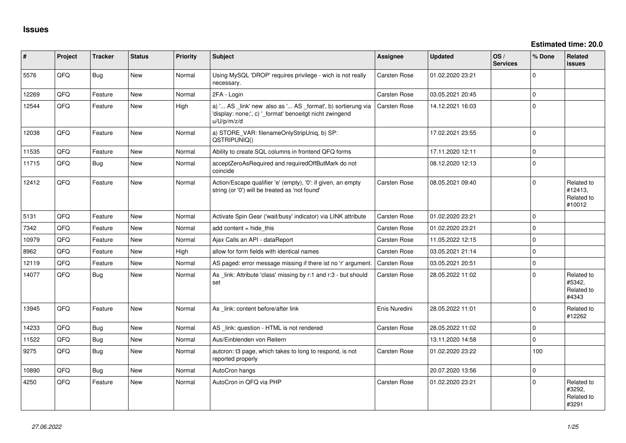| #     | Project | <b>Tracker</b> | <b>Status</b> | <b>Priority</b> | <b>Subject</b>                                                                                                                        | Assignee            | <b>Updated</b>   | OS/<br><b>Services</b> | % Done       | Related<br><b>issues</b>                      |
|-------|---------|----------------|---------------|-----------------|---------------------------------------------------------------------------------------------------------------------------------------|---------------------|------------------|------------------------|--------------|-----------------------------------------------|
| 5576  | QFQ     | <b>Bug</b>     | New           | Normal          | Using MySQL 'DROP' requires privilege - wich is not really<br>necessary.                                                              | Carsten Rose        | 01.02.2020 23:21 |                        | $\mathbf{0}$ |                                               |
| 12269 | QFQ     | Feature        | <b>New</b>    | Normal          | 2FA - Login                                                                                                                           | <b>Carsten Rose</b> | 03.05.2021 20:45 |                        | $\mathbf 0$  |                                               |
| 12544 | QFQ     | Feature        | <b>New</b>    | High            | a) ' AS _link' new also as ' AS _format', b) sortierung via<br>'display: none;', c) '_format' benoeitgt nicht zwingend<br>u/U/p/m/z/d | <b>Carsten Rose</b> | 14.12.2021 16:03 |                        | $\mathbf 0$  |                                               |
| 12038 | QFQ     | Feature        | <b>New</b>    | Normal          | a) STORE_VAR: filenameOnlyStripUniq, b) SP:<br>QSTRIPUNIQ()                                                                           |                     | 17.02.2021 23:55 |                        | $\mathbf 0$  |                                               |
| 11535 | QFQ     | Feature        | <b>New</b>    | Normal          | Ability to create SQL columns in frontend QFQ forms                                                                                   |                     | 17.11.2020 12:11 |                        | $\mathbf 0$  |                                               |
| 11715 | QFQ     | <b>Bug</b>     | New           | Normal          | acceptZeroAsRequired and requiredOffButMark do not<br>coincide                                                                        |                     | 08.12.2020 12:13 |                        | $\mathbf 0$  |                                               |
| 12412 | QFQ     | Feature        | <b>New</b>    | Normal          | Action/Escape qualifier 'e' (empty), '0': if given, an empty<br>string (or '0') will be treated as 'not found'                        | Carsten Rose        | 08.05.2021 09:40 |                        | $\Omega$     | Related to<br>#12413,<br>Related to<br>#10012 |
| 5131  | QFQ     | Feature        | <b>New</b>    | Normal          | Activate Spin Gear ('wait/busy' indicator) via LINK attribute                                                                         | <b>Carsten Rose</b> | 01.02.2020 23:21 |                        | $\Omega$     |                                               |
| 7342  | QFQ     | Feature        | <b>New</b>    | Normal          | add content $=$ hide this                                                                                                             | Carsten Rose        | 01.02.2020 23:21 |                        | $\Omega$     |                                               |
| 10979 | QFQ     | Feature        | <b>New</b>    | Normal          | Ajax Calls an API - dataReport                                                                                                        | <b>Carsten Rose</b> | 11.05.2022 12:15 |                        | $\Omega$     |                                               |
| 8962  | QFQ     | Feature        | <b>New</b>    | High            | allow for form fields with identical names                                                                                            | <b>Carsten Rose</b> | 03.05.2021 21:14 |                        | $\Omega$     |                                               |
| 12119 | QFQ     | Feature        | <b>New</b>    | Normal          | AS paged: error message missing if there ist no 'r' argument.                                                                         | <b>Carsten Rose</b> | 03.05.2021 20:51 |                        | $\Omega$     |                                               |
| 14077 | QFQ     | Bug            | <b>New</b>    | Normal          | As link: Attribute 'class' missing by r:1 and r:3 - but should<br>set                                                                 | Carsten Rose        | 28.05.2022 11:02 |                        | $\Omega$     | Related to<br>#5342,<br>Related to<br>#4343   |
| 13945 | QFQ     | Feature        | <b>New</b>    | Normal          | As _link: content before/after link                                                                                                   | Enis Nuredini       | 28.05.2022 11:01 |                        | $\Omega$     | Related to<br>#12262                          |
| 14233 | QFQ     | Bug            | <b>New</b>    | Normal          | AS _link: question - HTML is not rendered                                                                                             | <b>Carsten Rose</b> | 28.05.2022 11:02 |                        | $\Omega$     |                                               |
| 11522 | QFQ     | Bug            | <b>New</b>    | Normal          | Aus/Einblenden von Reitern                                                                                                            |                     | 13.11.2020 14:58 |                        | $\mathbf{0}$ |                                               |
| 9275  | QFQ     | Bug            | <b>New</b>    | Normal          | auteron: t3 page, which takes to long to respond, is not<br>reported properly                                                         | <b>Carsten Rose</b> | 01.02.2020 23:22 |                        | 100          |                                               |
| 10890 | QFQ     | <b>Bug</b>     | <b>New</b>    | Normal          | AutoCron hangs                                                                                                                        |                     | 20.07.2020 13:56 |                        | $\mathbf 0$  |                                               |
| 4250  | QFQ     | Feature        | New           | Normal          | AutoCron in QFQ via PHP                                                                                                               | <b>Carsten Rose</b> | 01.02.2020 23:21 |                        | $\Omega$     | Related to<br>#3292,<br>Related to<br>#3291   |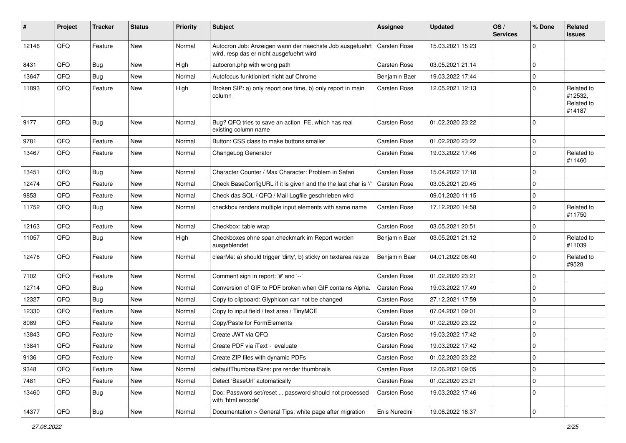| ∦     | Project | <b>Tracker</b> | <b>Status</b> | <b>Priority</b> | Subject                                                                                              | <b>Assignee</b>     | <b>Updated</b>   | OS/<br><b>Services</b> | % Done      | Related<br>issues                             |
|-------|---------|----------------|---------------|-----------------|------------------------------------------------------------------------------------------------------|---------------------|------------------|------------------------|-------------|-----------------------------------------------|
| 12146 | QFQ     | Feature        | <b>New</b>    | Normal          | Autocron Job: Anzeigen wann der naechste Job ausgefuehrt<br>wird, resp das er nicht ausgefuehrt wird | Carsten Rose        | 15.03.2021 15:23 |                        | $\Omega$    |                                               |
| 8431  | QFQ     | Bug            | <b>New</b>    | High            | autocron.php with wrong path                                                                         | Carsten Rose        | 03.05.2021 21:14 |                        | $\Omega$    |                                               |
| 13647 | QFQ     | Bug            | New           | Normal          | Autofocus funktioniert nicht auf Chrome                                                              | Benjamin Baer       | 19.03.2022 17:44 |                        | $\Omega$    |                                               |
| 11893 | QFQ     | Feature        | <b>New</b>    | High            | Broken SIP: a) only report one time, b) only report in main<br>column                                | Carsten Rose        | 12.05.2021 12:13 |                        | $\Omega$    | Related to<br>#12532,<br>Related to<br>#14187 |
| 9177  | QFQ     | <b>Bug</b>     | <b>New</b>    | Normal          | Bug? QFQ tries to save an action FE, which has real<br>existing column name                          | Carsten Rose        | 01.02.2020 23:22 |                        | $\Omega$    |                                               |
| 9781  | QFQ     | Feature        | New           | Normal          | Button: CSS class to make buttons smaller                                                            | Carsten Rose        | 01.02.2020 23:22 |                        | $\Omega$    |                                               |
| 13467 | QFQ     | Feature        | <b>New</b>    | Normal          | ChangeLog Generator                                                                                  | Carsten Rose        | 19.03.2022 17:46 |                        | $\Omega$    | Related to<br>#11460                          |
| 13451 | QFQ     | Bug            | <b>New</b>    | Normal          | Character Counter / Max Character: Problem in Safari                                                 | Carsten Rose        | 15.04.2022 17:18 |                        | $\Omega$    |                                               |
| 12474 | QFQ     | Feature        | New           | Normal          | Check BaseConfigURL if it is given and the the last char is '/'                                      | <b>Carsten Rose</b> | 03.05.2021 20:45 |                        | $\Omega$    |                                               |
| 9853  | QFQ     | Feature        | New           | Normal          | Check das SQL / QFQ / Mail Logfile geschrieben wird                                                  |                     | 09.01.2020 11:15 |                        | $\Omega$    |                                               |
| 11752 | QFQ     | Bug            | New           | Normal          | checkbox renders multiple input elements with same name                                              | Carsten Rose        | 17.12.2020 14:58 |                        | $\Omega$    | Related to<br>#11750                          |
| 12163 | QFQ     | Feature        | <b>New</b>    | Normal          | Checkbox: table wrap                                                                                 | Carsten Rose        | 03.05.2021 20:51 |                        | $\Omega$    |                                               |
| 11057 | QFQ     | <b>Bug</b>     | <b>New</b>    | High            | Checkboxes ohne span.checkmark im Report werden<br>ausgeblendet                                      | Benjamin Baer       | 03.05.2021 21:12 |                        | $\Omega$    | Related to<br>#11039                          |
| 12476 | QFQ     | Feature        | <b>New</b>    | Normal          | clearMe: a) should trigger 'dirty', b) sticky on textarea resize                                     | Benjamin Baer       | 04.01.2022 08:40 |                        | $\Omega$    | Related to<br>#9528                           |
| 7102  | QFQ     | Feature        | <b>New</b>    | Normal          | Comment sign in report: '#' and '--'                                                                 | Carsten Rose        | 01.02.2020 23:21 |                        | $\Omega$    |                                               |
| 12714 | QFQ     | Bug            | <b>New</b>    | Normal          | Conversion of GIF to PDF broken when GIF contains Alpha.                                             | Carsten Rose        | 19.03.2022 17:49 |                        | $\Omega$    |                                               |
| 12327 | QFQ     | <b>Bug</b>     | <b>New</b>    | Normal          | Copy to clipboard: Glyphicon can not be changed                                                      | Carsten Rose        | 27.12.2021 17:59 |                        | $\Omega$    |                                               |
| 12330 | QFQ     | Feature        | New           | Normal          | Copy to input field / text area / TinyMCE                                                            | Carsten Rose        | 07.04.2021 09:01 |                        | $\Omega$    |                                               |
| 8089  | QFQ     | Feature        | <b>New</b>    | Normal          | Copy/Paste for FormElements                                                                          | Carsten Rose        | 01.02.2020 23:22 |                        | $\Omega$    |                                               |
| 13843 | QFQ     | Feature        | New           | Normal          | Create JWT via QFQ                                                                                   | Carsten Rose        | 19.03.2022 17:42 |                        | $\Omega$    |                                               |
| 13841 | QFQ     | Feature        | New           | Normal          | Create PDF via iText - evaluate                                                                      | Carsten Rose        | 19.03.2022 17:42 |                        | $\mathbf 0$ |                                               |
| 9136  | QFQ     | Feature        | New           | Normal          | Create ZIP files with dynamic PDFs                                                                   | Carsten Rose        | 01.02.2020 23:22 |                        | 0           |                                               |
| 9348  | QFQ     | Feature        | New           | Normal          | defaultThumbnailSize: pre render thumbnails                                                          | Carsten Rose        | 12.06.2021 09:05 |                        | 0           |                                               |
| 7481  | QFQ     | Feature        | New           | Normal          | Detect 'BaseUrl' automatically                                                                       | Carsten Rose        | 01.02.2020 23:21 |                        | 0           |                                               |
| 13460 | QFQ     | Bug            | New           | Normal          | Doc: Password set/reset  password should not processed<br>with 'html encode'                         | Carsten Rose        | 19.03.2022 17:46 |                        | 0           |                                               |
| 14377 | QFQ     | Bug            | New           | Normal          | Documentation > General Tips: white page after migration                                             | Enis Nuredini       | 19.06.2022 16:37 |                        | 0           |                                               |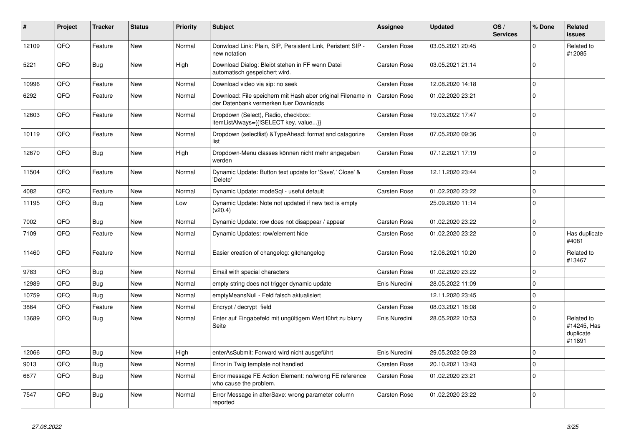| #     | Project | <b>Tracker</b> | <b>Status</b> | <b>Priority</b> | <b>Subject</b>                                                                                        | Assignee            | <b>Updated</b>   | OS/<br><b>Services</b> | % Done      | <b>Related</b><br><b>issues</b>                  |
|-------|---------|----------------|---------------|-----------------|-------------------------------------------------------------------------------------------------------|---------------------|------------------|------------------------|-------------|--------------------------------------------------|
| 12109 | QFQ     | Feature        | <b>New</b>    | Normal          | Donwload Link: Plain, SIP, Persistent Link, Peristent SIP -<br>new notation                           | <b>Carsten Rose</b> | 03.05.2021 20:45 |                        | $\Omega$    | Related to<br>#12085                             |
| 5221  | QFQ     | Bug            | <b>New</b>    | High            | Download Dialog: Bleibt stehen in FF wenn Datei<br>automatisch gespeichert wird.                      | Carsten Rose        | 03.05.2021 21:14 |                        | $\mathbf 0$ |                                                  |
| 10996 | QFQ     | Feature        | <b>New</b>    | Normal          | Download video via sip: no seek                                                                       | <b>Carsten Rose</b> | 12.08.2020 14:18 |                        | $\mathbf 0$ |                                                  |
| 6292  | QFQ     | Feature        | <b>New</b>    | Normal          | Download: File speichern mit Hash aber original Filename in<br>der Datenbank vermerken fuer Downloads | <b>Carsten Rose</b> | 01.02.2020 23:21 |                        | $\mathbf 0$ |                                                  |
| 12603 | QFQ     | Feature        | New           | Normal          | Dropdown (Select), Radio, checkbox:<br>itemListAlways={{!SELECT key, value}}                          | Carsten Rose        | 19.03.2022 17:47 |                        | $\mathbf 0$ |                                                  |
| 10119 | QFQ     | Feature        | <b>New</b>    | Normal          | Dropdown (selectlist) & Type Ahead: format and catagorize<br>list                                     | <b>Carsten Rose</b> | 07.05.2020 09:36 |                        | $\mathbf 0$ |                                                  |
| 12670 | QFQ     | Bug            | <b>New</b>    | High            | Dropdown-Menu classes können nicht mehr angegeben<br>werden                                           | Carsten Rose        | 07.12.2021 17:19 |                        | $\Omega$    |                                                  |
| 11504 | QFQ     | Feature        | New           | Normal          | Dynamic Update: Button text update for 'Save',' Close' &<br>'Delete'                                  | Carsten Rose        | 12.11.2020 23:44 |                        | $\mathbf 0$ |                                                  |
| 4082  | QFQ     | Feature        | New           | Normal          | Dynamic Update: modeSql - useful default                                                              | Carsten Rose        | 01.02.2020 23:22 |                        | $\mathbf 0$ |                                                  |
| 11195 | QFQ     | Bug            | New           | Low             | Dynamic Update: Note not updated if new text is empty<br>(v20.4)                                      |                     | 25.09.2020 11:14 |                        | $\Omega$    |                                                  |
| 7002  | QFQ     | Bug            | <b>New</b>    | Normal          | Dynamic Update: row does not disappear / appear                                                       | Carsten Rose        | 01.02.2020 23:22 |                        | $\Omega$    |                                                  |
| 7109  | QFQ     | Feature        | New           | Normal          | Dynamic Updates: row/element hide                                                                     | Carsten Rose        | 01.02.2020 23:22 |                        | $\Omega$    | Has duplicate<br>#4081                           |
| 11460 | QFQ     | Feature        | <b>New</b>    | Normal          | Easier creation of changelog: gitchangelog                                                            | Carsten Rose        | 12.06.2021 10:20 |                        | $\mathbf 0$ | Related to<br>#13467                             |
| 9783  | QFQ     | <b>Bug</b>     | <b>New</b>    | Normal          | Email with special characters                                                                         | Carsten Rose        | 01.02.2020 23:22 |                        | $\Omega$    |                                                  |
| 12989 | QFQ     | <b>Bug</b>     | <b>New</b>    | Normal          | empty string does not trigger dynamic update                                                          | Enis Nuredini       | 28.05.2022 11:09 |                        | $\mathbf 0$ |                                                  |
| 10759 | QFQ     | <b>Bug</b>     | <b>New</b>    | Normal          | emptyMeansNull - Feld falsch aktualisiert                                                             |                     | 12.11.2020 23:45 |                        | $\mathbf 0$ |                                                  |
| 3864  | QFQ     | Feature        | <b>New</b>    | Normal          | Encrypt / decrypt field                                                                               | <b>Carsten Rose</b> | 08.03.2021 18:08 |                        | $\mathbf 0$ |                                                  |
| 13689 | QFQ     | <b>Bug</b>     | <b>New</b>    | Normal          | Enter auf Eingabefeld mit ungültigem Wert führt zu blurry<br>Seite                                    | Enis Nuredini       | 28.05.2022 10:53 |                        | $\Omega$    | Related to<br>#14245, Has<br>duplicate<br>#11891 |
| 12066 | QFQ     | Bug            | <b>New</b>    | High            | enterAsSubmit: Forward wird nicht ausgeführt                                                          | Enis Nuredini       | 29.05.2022 09:23 |                        | $\Omega$    |                                                  |
| 9013  | QFQ     | Bug            | <b>New</b>    | Normal          | Error in Twig template not handled                                                                    | Carsten Rose        | 20.10.2021 13:43 |                        | $\mathbf 0$ |                                                  |
| 6677  | QFQ     | <b>Bug</b>     | <b>New</b>    | Normal          | Error message FE Action Element: no/wrong FE reference<br>who cause the problem.                      | <b>Carsten Rose</b> | 01.02.2020 23:21 |                        | $\Omega$    |                                                  |
| 7547  | QFQ     | Bug            | <b>New</b>    | Normal          | Error Message in afterSave: wrong parameter column<br>reported                                        | <b>Carsten Rose</b> | 01.02.2020 23:22 |                        | $\mathbf 0$ |                                                  |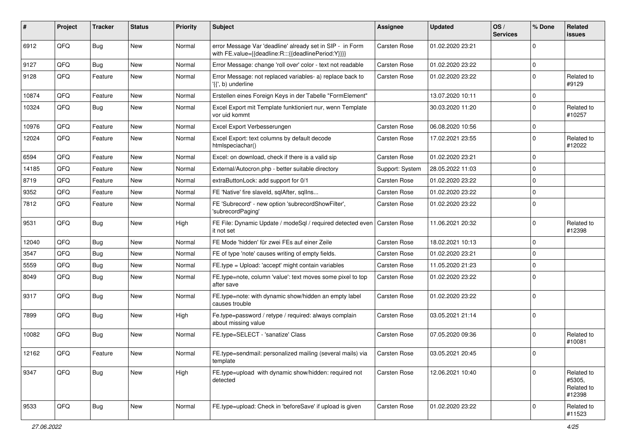| #     | Project | <b>Tracker</b> | <b>Status</b> | <b>Priority</b> | <b>Subject</b>                                                                                                   | <b>Assignee</b> | <b>Updated</b>   | OS/<br><b>Services</b> | % Done      | Related<br>issues                            |
|-------|---------|----------------|---------------|-----------------|------------------------------------------------------------------------------------------------------------------|-----------------|------------------|------------------------|-------------|----------------------------------------------|
| 6912  | QFQ     | <b>Bug</b>     | <b>New</b>    | Normal          | error Message Var 'deadline' already set in SIP - in Form<br>with FE.value={{deadline:R:::{{deadlinePeriod:Y}}}} | Carsten Rose    | 01.02.2020 23:21 |                        | $\Omega$    |                                              |
| 9127  | QFQ     | <b>Bug</b>     | <b>New</b>    | Normal          | Error Message: change 'roll over' color - text not readable                                                      | Carsten Rose    | 01.02.2020 23:22 |                        | $\Omega$    |                                              |
| 9128  | QFQ     | Feature        | <b>New</b>    | Normal          | Error Message: not replaced variables- a) replace back to<br>'{{', b) underline                                  | Carsten Rose    | 01.02.2020 23:22 |                        | $\Omega$    | Related to<br>#9129                          |
| 10874 | QFQ     | Feature        | New           | Normal          | Erstellen eines Foreign Keys in der Tabelle "FormElement"                                                        |                 | 13.07.2020 10:11 |                        | $\mathbf 0$ |                                              |
| 10324 | QFQ     | <b>Bug</b>     | <b>New</b>    | Normal          | Excel Export mit Template funktioniert nur, wenn Template<br>vor uid kommt                                       |                 | 30.03.2020 11:20 |                        | $\Omega$    | Related to<br>#10257                         |
| 10976 | QFQ     | Feature        | <b>New</b>    | Normal          | Excel Export Verbesserungen                                                                                      | Carsten Rose    | 06.08.2020 10:56 |                        | $\Omega$    |                                              |
| 12024 | QFQ     | Feature        | New           | Normal          | Excel Export: text columns by default decode<br>htmlspeciachar()                                                 | Carsten Rose    | 17.02.2021 23:55 |                        | $\Omega$    | Related to<br>#12022                         |
| 6594  | QFQ     | Feature        | <b>New</b>    | Normal          | Excel: on download, check if there is a valid sip                                                                | Carsten Rose    | 01.02.2020 23:21 |                        | $\Omega$    |                                              |
| 14185 | QFQ     | Feature        | New           | Normal          | External/Autocron.php - better suitable directory                                                                | Support: System | 28.05.2022 11:03 |                        | $\Omega$    |                                              |
| 8719  | QFQ     | Feature        | New           | Normal          | extraButtonLock: add support for 0/1                                                                             | Carsten Rose    | 01.02.2020 23:22 |                        | $\Omega$    |                                              |
| 9352  | QFQ     | Feature        | <b>New</b>    | Normal          | FE 'Native' fire slaveld, sqlAfter, sqlIns                                                                       | Carsten Rose    | 01.02.2020 23:22 |                        | $\Omega$    |                                              |
| 7812  | QFQ     | Feature        | New           | Normal          | FE 'Subrecord' - new option 'subrecordShowFilter',<br>'subrecordPaging'                                          | Carsten Rose    | 01.02.2020 23:22 |                        | $\Omega$    |                                              |
| 9531  | QFQ     | <b>Bug</b>     | <b>New</b>    | High            | FE File: Dynamic Update / modeSql / required detected even<br>it not set                                         | Carsten Rose    | 11.06.2021 20:32 |                        | $\mathbf 0$ | Related to<br>#12398                         |
| 12040 | QFQ     | <b>Bug</b>     | <b>New</b>    | Normal          | FE Mode 'hidden' für zwei FEs auf einer Zeile                                                                    | Carsten Rose    | 18.02.2021 10:13 |                        | $\Omega$    |                                              |
| 3547  | QFQ     | Bug            | <b>New</b>    | Normal          | FE of type 'note' causes writing of empty fields.                                                                | Carsten Rose    | 01.02.2020 23:21 |                        | $\Omega$    |                                              |
| 5559  | QFQ     | <b>Bug</b>     | New           | Normal          | FE.type = Upload: 'accept' might contain variables                                                               | Carsten Rose    | 11.05.2020 21:23 |                        | $\Omega$    |                                              |
| 8049  | QFQ     | Bug            | <b>New</b>    | Normal          | FE.type=note, column 'value': text moves some pixel to top<br>after save                                         | Carsten Rose    | 01.02.2020 23:22 |                        | $\Omega$    |                                              |
| 9317  | QFQ     | <b>Bug</b>     | New           | Normal          | FE.type=note: with dynamic show/hidden an empty label<br>causes trouble                                          | Carsten Rose    | 01.02.2020 23:22 |                        | $\Omega$    |                                              |
| 7899  | QFQ     | <b>Bug</b>     | <b>New</b>    | High            | Fe.type=password / retype / required: always complain<br>about missing value                                     | Carsten Rose    | 03.05.2021 21:14 |                        | $\Omega$    |                                              |
| 10082 | QFQ     | Bug            | <b>New</b>    | Normal          | FE.type=SELECT - 'sanatize' Class                                                                                | Carsten Rose    | 07.05.2020 09:36 |                        | $\Omega$    | Related to<br>#10081                         |
| 12162 | QFQ     | Feature        | New           | Normal          | FE.type=sendmail: personalized mailing (several mails) via<br>template                                           | Carsten Rose    | 03.05.2021 20:45 |                        | 0           |                                              |
| 9347  | QFQ     | Bug            | New           | High            | FE.type=upload with dynamic show/hidden: required not<br>detected                                                | Carsten Rose    | 12.06.2021 10:40 |                        | $\mathbf 0$ | Related to<br>#5305,<br>Related to<br>#12398 |
| 9533  | QFQ     | Bug            | New           | Normal          | FE.type=upload: Check in 'beforeSave' if upload is given                                                         | Carsten Rose    | 01.02.2020 23:22 |                        | $\mathbf 0$ | Related to<br>#11523                         |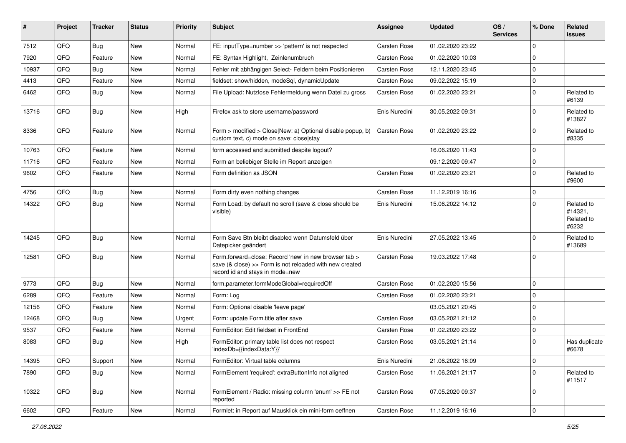| #     | Project | <b>Tracker</b> | <b>Status</b> | <b>Priority</b> | Subject                                                                                                                                             | <b>Assignee</b>     | <b>Updated</b>   | OS/<br><b>Services</b> | % Done      | <b>Related</b><br><b>issues</b>              |
|-------|---------|----------------|---------------|-----------------|-----------------------------------------------------------------------------------------------------------------------------------------------------|---------------------|------------------|------------------------|-------------|----------------------------------------------|
| 7512  | QFQ     | Bug            | <b>New</b>    | Normal          | FE: inputType=number >> 'pattern' is not respected                                                                                                  | <b>Carsten Rose</b> | 01.02.2020 23:22 |                        | $\mathbf 0$ |                                              |
| 7920  | QFQ     | Feature        | <b>New</b>    | Normal          | FE: Syntax Highlight, Zeinlenumbruch                                                                                                                | Carsten Rose        | 01.02.2020 10:03 |                        | $\Omega$    |                                              |
| 10937 | QFQ     | Bug            | <b>New</b>    | Normal          | Fehler mit abhängigen Select- Feldern beim Positionieren                                                                                            | Carsten Rose        | 12.11.2020 23:45 |                        | $\Omega$    |                                              |
| 4413  | QFQ     | Feature        | <b>New</b>    | Normal          | fieldset: show/hidden, modeSql, dynamicUpdate                                                                                                       | Carsten Rose        | 09.02.2022 15:19 |                        | $\mathbf 0$ |                                              |
| 6462  | QFQ     | Bug            | <b>New</b>    | Normal          | File Upload: Nutzlose Fehlermeldung wenn Datei zu gross                                                                                             | Carsten Rose        | 01.02.2020 23:21 |                        | $\mathbf 0$ | Related to<br>#6139                          |
| 13716 | QFQ     | <b>Bug</b>     | New           | High            | Firefox ask to store username/password                                                                                                              | Enis Nuredini       | 30.05.2022 09:31 |                        | $\mathbf 0$ | Related to<br>#13827                         |
| 8336  | QFQ     | Feature        | <b>New</b>    | Normal          | Form > modified > Close New: a) Optional disable popup, b)<br>custom text, c) mode on save: close stay                                              | Carsten Rose        | 01.02.2020 23:22 |                        | $\mathbf 0$ | Related to<br>#8335                          |
| 10763 | QFQ     | Feature        | <b>New</b>    | Normal          | form accessed and submitted despite logout?                                                                                                         |                     | 16.06.2020 11:43 |                        | $\Omega$    |                                              |
| 11716 | QFQ     | Feature        | <b>New</b>    | Normal          | Form an beliebiger Stelle im Report anzeigen                                                                                                        |                     | 09.12.2020 09:47 |                        | $\mathbf 0$ |                                              |
| 9602  | QFQ     | Feature        | <b>New</b>    | Normal          | Form definition as JSON                                                                                                                             | Carsten Rose        | 01.02.2020 23:21 |                        | $\mathbf 0$ | Related to<br>#9600                          |
| 4756  | QFQ     | Bug            | <b>New</b>    | Normal          | Form dirty even nothing changes                                                                                                                     | Carsten Rose        | 11.12.2019 16:16 |                        | $\mathbf 0$ |                                              |
| 14322 | QFQ     | Bug            | New           | Normal          | Form Load: by default no scroll (save & close should be<br>visible)                                                                                 | Enis Nuredini       | 15.06.2022 14:12 |                        | $\mathbf 0$ | Related to<br>#14321,<br>Related to<br>#6232 |
| 14245 | QFQ     | Bug            | <b>New</b>    | Normal          | Form Save Btn bleibt disabled wenn Datumsfeld über<br>Datepicker geändert                                                                           | Enis Nuredini       | 27.05.2022 13:45 |                        | $\Omega$    | Related to<br>#13689                         |
| 12581 | QFQ     | Bug            | <b>New</b>    | Normal          | Form.forward=close: Record 'new' in new browser tab ><br>save (& close) >> Form is not reloaded with new created<br>record id and stays in mode=new | Carsten Rose        | 19.03.2022 17:48 |                        | $\mathbf 0$ |                                              |
| 9773  | QFQ     | Bug            | New           | Normal          | form.parameter.formModeGlobal=requiredOff                                                                                                           | Carsten Rose        | 01.02.2020 15:56 |                        | $\mathbf 0$ |                                              |
| 6289  | QFQ     | Feature        | <b>New</b>    | Normal          | Form: Log                                                                                                                                           | Carsten Rose        | 01.02.2020 23:21 |                        | $\mathbf 0$ |                                              |
| 12156 | QFQ     | Feature        | <b>New</b>    | Normal          | Form: Optional disable 'leave page'                                                                                                                 |                     | 03.05.2021 20:45 |                        | $\mathbf 0$ |                                              |
| 12468 | QFQ     | <b>Bug</b>     | <b>New</b>    | Urgent          | Form: update Form.title after save                                                                                                                  | Carsten Rose        | 03.05.2021 21:12 |                        | $\Omega$    |                                              |
| 9537  | QFQ     | Feature        | New           | Normal          | FormEditor: Edit fieldset in FrontEnd                                                                                                               | Carsten Rose        | 01.02.2020 23:22 |                        | $\mathbf 0$ |                                              |
| 8083  | QFQ     | Bug            | <b>New</b>    | High            | FormEditor: primary table list does not respect<br>'indexDb={{indexData:Y}}'                                                                        | Carsten Rose        | 03.05.2021 21:14 |                        | $\mathbf 0$ | Has duplicate<br>#6678                       |
| 14395 | QFQ     | Support        | New           | Normal          | FormEditor: Virtual table columns                                                                                                                   | Enis Nuredini       | 21.06.2022 16:09 |                        | $\mathbf 0$ |                                              |
| 7890  | QFQ     | Bug            | New           | Normal          | FormElement 'required': extraButtonInfo not aligned                                                                                                 | Carsten Rose        | 11.06.2021 21:17 |                        | 0           | Related to<br>#11517                         |
| 10322 | QFQ     | Bug            | New           | Normal          | FormElement / Radio: missing column 'enum' >> FE not<br>reported                                                                                    | Carsten Rose        | 07.05.2020 09:37 |                        | 0           |                                              |
| 6602  | QFG     | Feature        | New           | Normal          | Formlet: in Report auf Mausklick ein mini-form oeffnen                                                                                              | Carsten Rose        | 11.12.2019 16:16 |                        | $\pmb{0}$   |                                              |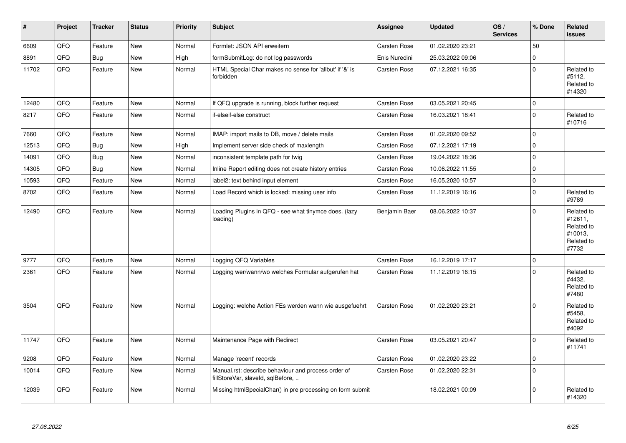| $\pmb{\sharp}$ | Project | <b>Tracker</b> | <b>Status</b> | <b>Priority</b> | <b>Subject</b>                                                                           | Assignee      | <b>Updated</b>   | OS/<br><b>Services</b> | % Done      | Related<br>issues                                                     |
|----------------|---------|----------------|---------------|-----------------|------------------------------------------------------------------------------------------|---------------|------------------|------------------------|-------------|-----------------------------------------------------------------------|
| 6609           | QFQ     | Feature        | <b>New</b>    | Normal          | Formlet: JSON API erweitern                                                              | Carsten Rose  | 01.02.2020 23:21 |                        | 50          |                                                                       |
| 8891           | QFQ     | Bug            | New           | High            | formSubmitLog: do not log passwords                                                      | Enis Nuredini | 25.03.2022 09:06 |                        | $\mathbf 0$ |                                                                       |
| 11702          | QFQ     | Feature        | New           | Normal          | HTML Special Char makes no sense for 'allbut' if '&' is<br>forbidden                     | Carsten Rose  | 07.12.2021 16:35 |                        | $\Omega$    | Related to<br>#5112,<br>Related to<br>#14320                          |
| 12480          | QFQ     | Feature        | <b>New</b>    | Normal          | If QFQ upgrade is running, block further request                                         | Carsten Rose  | 03.05.2021 20:45 |                        | $\Omega$    |                                                                       |
| 8217           | QFQ     | Feature        | New           | Normal          | if-elseif-else construct                                                                 | Carsten Rose  | 16.03.2021 18:41 |                        | $\Omega$    | Related to<br>#10716                                                  |
| 7660           | QFQ     | Feature        | <b>New</b>    | Normal          | IMAP: import mails to DB, move / delete mails                                            | Carsten Rose  | 01.02.2020 09:52 |                        | $\Omega$    |                                                                       |
| 12513          | QFQ     | Bug            | New           | High            | Implement server side check of maxlength                                                 | Carsten Rose  | 07.12.2021 17:19 |                        | $\mathbf 0$ |                                                                       |
| 14091          | QFQ     | <b>Bug</b>     | <b>New</b>    | Normal          | inconsistent template path for twig                                                      | Carsten Rose  | 19.04.2022 18:36 |                        | $\Omega$    |                                                                       |
| 14305          | QFQ     | <b>Bug</b>     | <b>New</b>    | Normal          | Inline Report editing does not create history entries                                    | Carsten Rose  | 10.06.2022 11:55 |                        | $\Omega$    |                                                                       |
| 10593          | QFQ     | Feature        | New           | Normal          | label2: text behind input element                                                        | Carsten Rose  | 16.05.2020 10:57 |                        | $\mathbf 0$ |                                                                       |
| 8702           | QFQ     | Feature        | <b>New</b>    | Normal          | Load Record which is locked: missing user info                                           | Carsten Rose  | 11.12.2019 16:16 |                        | $\Omega$    | Related to<br>#9789                                                   |
| 12490          | QFQ     | Feature        | New           | Normal          | Loading Plugins in QFQ - see what tinymce does. (lazy<br>loading)                        | Benjamin Baer | 08.06.2022 10:37 |                        | $\Omega$    | Related to<br>#12611.<br>Related to<br>#10013.<br>Related to<br>#7732 |
| 9777           | QFQ     | Feature        | <b>New</b>    | Normal          | Logging QFQ Variables                                                                    | Carsten Rose  | 16.12.2019 17:17 |                        | $\mathbf 0$ |                                                                       |
| 2361           | QFQ     | Feature        | <b>New</b>    | Normal          | Logging wer/wann/wo welches Formular aufgerufen hat                                      | Carsten Rose  | 11.12.2019 16:15 |                        | $\Omega$    | Related to<br>#4432,<br>Related to<br>#7480                           |
| 3504           | QFQ     | Feature        | <b>New</b>    | Normal          | Logging: welche Action FEs werden wann wie ausgefuehrt                                   | Carsten Rose  | 01.02.2020 23:21 |                        | $\Omega$    | Related to<br>#5458,<br>Related to<br>#4092                           |
| 11747          | QFQ     | Feature        | New           | Normal          | Maintenance Page with Redirect                                                           | Carsten Rose  | 03.05.2021 20:47 |                        | $\Omega$    | Related to<br>#11741                                                  |
| 9208           | QFQ     | Feature        | <b>New</b>    | Normal          | Manage 'recent' records                                                                  | Carsten Rose  | 01.02.2020 23:22 |                        | $\Omega$    |                                                                       |
| 10014          | QFQ     | Feature        | New           | Normal          | Manual.rst: describe behaviour and process order of<br>fillStoreVar, slaveId, sqlBefore, | Carsten Rose  | 01.02.2020 22:31 |                        | $\Omega$    |                                                                       |
| 12039          | QFQ     | Feature        | <b>New</b>    | Normal          | Missing htmlSpecialChar() in pre processing on form submit                               |               | 18.02.2021 00:09 |                        | $\Omega$    | Related to<br>#14320                                                  |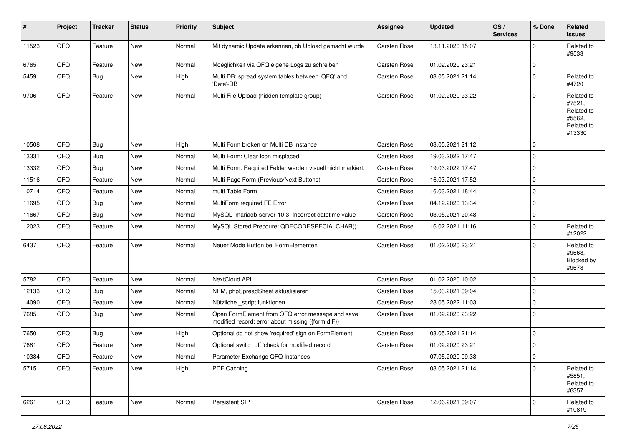| $\vert$ # | Project    | <b>Tracker</b> | <b>Status</b> | <b>Priority</b> | Subject                                                                                               | <b>Assignee</b> | <b>Updated</b>   | OS/<br><b>Services</b> | % Done      | Related<br>issues                                                    |
|-----------|------------|----------------|---------------|-----------------|-------------------------------------------------------------------------------------------------------|-----------------|------------------|------------------------|-------------|----------------------------------------------------------------------|
| 11523     | QFQ        | Feature        | New           | Normal          | Mit dynamic Update erkennen, ob Upload gemacht wurde                                                  | Carsten Rose    | 13.11.2020 15:07 |                        | $\Omega$    | Related to<br>#9533                                                  |
| 6765      | QFQ        | Feature        | <b>New</b>    | Normal          | Moeglichkeit via QFQ eigene Logs zu schreiben                                                         | Carsten Rose    | 01.02.2020 23:21 |                        | $\Omega$    |                                                                      |
| 5459      | QFQ        | <b>Bug</b>     | New           | High            | Multi DB: spread system tables between 'QFQ' and<br>'Data'-DB                                         | Carsten Rose    | 03.05.2021 21:14 |                        | $\Omega$    | Related to<br>#4720                                                  |
| 9706      | QFQ        | Feature        | <b>New</b>    | Normal          | Multi File Upload (hidden template group)                                                             | Carsten Rose    | 01.02.2020 23:22 |                        | $\Omega$    | Related to<br>#7521,<br>Related to<br>#5562,<br>Related to<br>#13330 |
| 10508     | QFQ        | Bug            | <b>New</b>    | High            | Multi Form broken on Multi DB Instance                                                                | Carsten Rose    | 03.05.2021 21:12 |                        | $\Omega$    |                                                                      |
| 13331     | QFQ        | <b>Bug</b>     | <b>New</b>    | Normal          | Multi Form: Clear Icon misplaced                                                                      | Carsten Rose    | 19.03.2022 17:47 |                        | $\Omega$    |                                                                      |
| 13332     | QFQ        | Bug            | <b>New</b>    | Normal          | Multi Form: Required Felder werden visuell nicht markiert.                                            | Carsten Rose    | 19.03.2022 17:47 |                        | $\Omega$    |                                                                      |
| 11516     | QFQ        | Feature        | New           | Normal          | Multi Page Form (Previous/Next Buttons)                                                               | Carsten Rose    | 16.03.2021 17:52 |                        | $\Omega$    |                                                                      |
| 10714     | QFQ        | Feature        | <b>New</b>    | Normal          | multi Table Form                                                                                      | Carsten Rose    | 16.03.2021 18:44 |                        | $\Omega$    |                                                                      |
| 11695     | QFQ        | Bug            | <b>New</b>    | Normal          | MultiForm required FE Error                                                                           | Carsten Rose    | 04.12.2020 13:34 |                        | $\Omega$    |                                                                      |
| 11667     | QFQ        | Bug            | New           | Normal          | MySQL mariadb-server-10.3: Incorrect datetime value                                                   | Carsten Rose    | 03.05.2021 20:48 |                        | $\mathbf 0$ |                                                                      |
| 12023     | QFQ        | Feature        | <b>New</b>    | Normal          | MySQL Stored Precdure: QDECODESPECIALCHAR()                                                           | Carsten Rose    | 16.02.2021 11:16 |                        | $\Omega$    | Related to<br>#12022                                                 |
| 6437      | QFQ        | Feature        | New           | Normal          | Neuer Mode Button bei FormElementen                                                                   | Carsten Rose    | 01.02.2020 23:21 |                        | $\Omega$    | Related to<br>#9668,<br><b>Blocked by</b><br>#9678                   |
| 5782      | QFQ        | Feature        | New           | Normal          | NextCloud API                                                                                         | Carsten Rose    | 01.02.2020 10:02 |                        | $\Omega$    |                                                                      |
| 12133     | QFQ        | Bug            | New           | Normal          | NPM, phpSpreadSheet aktualisieren                                                                     | Carsten Rose    | 15.03.2021 09:04 |                        | $\Omega$    |                                                                      |
| 14090     | QFQ        | Feature        | New           | Normal          | Nützliche _script funktionen                                                                          | Carsten Rose    | 28.05.2022 11:03 |                        | $\Omega$    |                                                                      |
| 7685      | QFQ        | Bug            | <b>New</b>    | Normal          | Open FormElement from QFQ error message and save<br>modified record: error about missing {{formId:F}} | Carsten Rose    | 01.02.2020 23:22 |                        | $\Omega$    |                                                                      |
| 7650      | QFQ        | <b>Bug</b>     | New           | High            | Optional do not show 'required' sign on FormElement                                                   | Carsten Rose    | 03.05.2021 21:14 |                        | $\Omega$    |                                                                      |
| 7681      | QFQ        | Feature        | <b>New</b>    | Normal          | Optional switch off 'check for modified record'                                                       | Carsten Rose    | 01.02.2020 23:21 |                        | $\Omega$    |                                                                      |
| 10384     | <b>QFQ</b> | Feature        | New           | Normal          | Parameter Exchange QFQ Instances                                                                      |                 | 07.05.2020 09:38 |                        | 0           |                                                                      |
| 5715      | QFQ        | Feature        | New           | High            | PDF Caching                                                                                           | Carsten Rose    | 03.05.2021 21:14 |                        | $\mathbf 0$ | Related to<br>#5851,<br>Related to<br>#6357                          |
| 6261      | QFG        | Feature        | New           | Normal          | Persistent SIP                                                                                        | Carsten Rose    | 12.06.2021 09:07 |                        | 0           | Related to<br>#10819                                                 |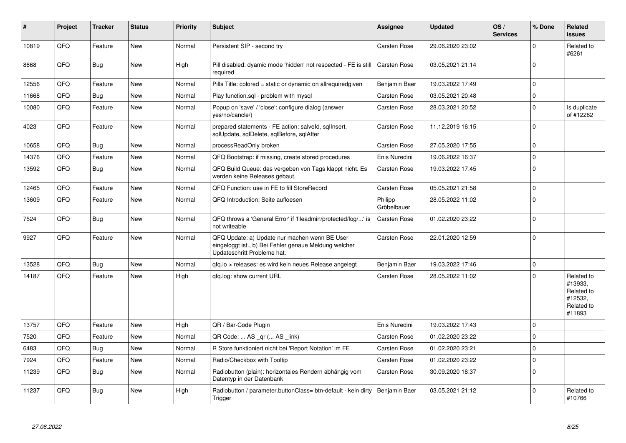| #     | Project | <b>Tracker</b> | <b>Status</b> | <b>Priority</b> | <b>Subject</b>                                                                                                                        | <b>Assignee</b>        | <b>Updated</b>   | OS/<br><b>Services</b> | % Done      | Related<br><b>issues</b>                                               |
|-------|---------|----------------|---------------|-----------------|---------------------------------------------------------------------------------------------------------------------------------------|------------------------|------------------|------------------------|-------------|------------------------------------------------------------------------|
| 10819 | QFQ     | Feature        | <b>New</b>    | Normal          | Persistent SIP - second try                                                                                                           | Carsten Rose           | 29.06.2020 23:02 |                        | $\Omega$    | Related to<br>#6261                                                    |
| 8668  | QFQ     | <b>Bug</b>     | <b>New</b>    | High            | Pill disabled: dyamic mode 'hidden' not respected - FE is still<br>required                                                           | Carsten Rose           | 03.05.2021 21:14 |                        | $\Omega$    |                                                                        |
| 12556 | QFQ     | Feature        | <b>New</b>    | Normal          | Pills Title: colored = static or dynamic on allrequiredgiven                                                                          | Benjamin Baer          | 19.03.2022 17:49 |                        | $\mathbf 0$ |                                                                        |
| 11668 | QFQ     | Bug            | New           | Normal          | Play function.sql - problem with mysql                                                                                                | Carsten Rose           | 03.05.2021 20:48 |                        | $\mathbf 0$ |                                                                        |
| 10080 | QFQ     | Feature        | New           | Normal          | Popup on 'save' / 'close': configure dialog (answer<br>yes/no/cancle/)                                                                | <b>Carsten Rose</b>    | 28.03.2021 20:52 |                        | $\Omega$    | Is duplicate<br>of #12262                                              |
| 4023  | QFQ     | Feature        | <b>New</b>    | Normal          | prepared statements - FE action: salveld, sqlInsert,<br>sglUpdate, sglDelete, sglBefore, sglAfter                                     | <b>Carsten Rose</b>    | 11.12.2019 16:15 |                        | $\Omega$    |                                                                        |
| 10658 | QFQ     | Bug            | <b>New</b>    | Normal          | processReadOnly broken                                                                                                                | Carsten Rose           | 27.05.2020 17:55 |                        | $\Omega$    |                                                                        |
| 14376 | QFQ     | Feature        | <b>New</b>    | Normal          | QFQ Bootstrap: if missing, create stored procedures                                                                                   | Enis Nuredini          | 19.06.2022 16:37 |                        | $\Omega$    |                                                                        |
| 13592 | QFQ     | Bug            | <b>New</b>    | Normal          | QFQ Build Queue: das vergeben von Tags klappt nicht. Es<br>werden keine Releases gebaut.                                              | <b>Carsten Rose</b>    | 19.03.2022 17:45 |                        | $\Omega$    |                                                                        |
| 12465 | QFQ     | Feature        | <b>New</b>    | Normal          | QFQ Function: use in FE to fill StoreRecord                                                                                           | <b>Carsten Rose</b>    | 05.05.2021 21:58 |                        | $\Omega$    |                                                                        |
| 13609 | QFQ     | Feature        | New           | Normal          | QFQ Introduction: Seite aufloesen                                                                                                     | Philipp<br>Gröbelbauer | 28.05.2022 11:02 |                        | $\Omega$    |                                                                        |
| 7524  | QFQ     | Bug            | <b>New</b>    | Normal          | QFQ throws a 'General Error' if 'fileadmin/protected/log/' is<br>not writeable                                                        | <b>Carsten Rose</b>    | 01.02.2020 23:22 |                        | $\Omega$    |                                                                        |
| 9927  | QFQ     | Feature        | <b>New</b>    | Normal          | QFQ Update: a) Update nur machen wenn BE User<br>eingeloggt ist., b) Bei Fehler genaue Meldung welcher<br>Updateschritt Probleme hat. | Carsten Rose           | 22.01.2020 12:59 |                        | $\Omega$    |                                                                        |
| 13528 | QFQ     | <b>Bug</b>     | <b>New</b>    | Normal          | qfq.io > releases: es wird kein neues Release angelegt                                                                                | Benjamin Baer          | 19.03.2022 17:46 |                        | $\mathbf 0$ |                                                                        |
| 14187 | QFQ     | Feature        | <b>New</b>    | High            | gfg.log: show current URL                                                                                                             | Carsten Rose           | 28.05.2022 11:02 |                        | $\Omega$    | Related to<br>#13933.<br>Related to<br>#12532,<br>Related to<br>#11893 |
| 13757 | QFQ     | Feature        | <b>New</b>    | High            | QR / Bar-Code Plugin                                                                                                                  | Enis Nuredini          | 19.03.2022 17:43 |                        | $\mathbf 0$ |                                                                        |
| 7520  | QFQ     | Feature        | <b>New</b>    | Normal          | QR Code:  AS _qr ( AS _link)                                                                                                          | Carsten Rose           | 01.02.2020 23:22 |                        | $\Omega$    |                                                                        |
| 6483  | QFQ     | Bug            | <b>New</b>    | Normal          | R Store funktioniert nicht bei 'Report Notation' im FE                                                                                | Carsten Rose           | 01.02.2020 23:21 |                        | $\mathbf 0$ |                                                                        |
| 7924  | QFQ     | Feature        | <b>New</b>    | Normal          | Radio/Checkbox with Tooltip                                                                                                           | <b>Carsten Rose</b>    | 01.02.2020 23:22 |                        | $\Omega$    |                                                                        |
| 11239 | QFQ     | <b>Bug</b>     | New           | Normal          | Radiobutton (plain): horizontales Rendern abhängig vom<br>Datentyp in der Datenbank                                                   | Carsten Rose           | 30.09.2020 18:37 |                        | $\Omega$    |                                                                        |
| 11237 | QFQ     | <b>Bug</b>     | <b>New</b>    | High            | Radiobutton / parameter.buttonClass= btn-default - kein dirty<br>Trigger                                                              | Benjamin Baer          | 03.05.2021 21:12 |                        | $\Omega$    | Related to<br>#10766                                                   |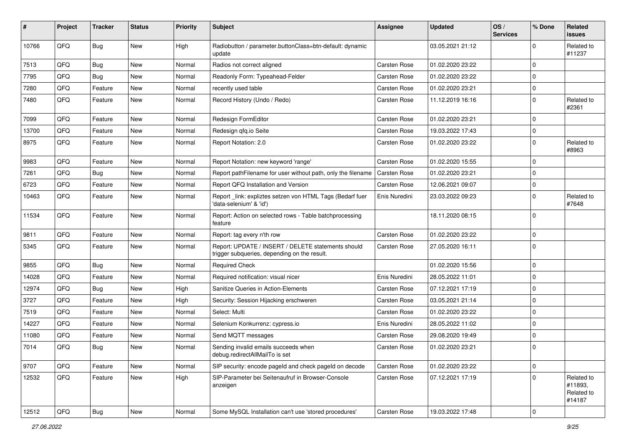| ∦     | Project | <b>Tracker</b> | <b>Status</b> | <b>Priority</b> | Subject                                                                                            | <b>Assignee</b> | <b>Updated</b>   | OS/<br><b>Services</b> | % Done      | <b>Related</b><br>issues                      |
|-------|---------|----------------|---------------|-----------------|----------------------------------------------------------------------------------------------------|-----------------|------------------|------------------------|-------------|-----------------------------------------------|
| 10766 | QFQ     | <b>Bug</b>     | <b>New</b>    | High            | Radiobutton / parameter.buttonClass=btn-default: dynamic<br>update                                 |                 | 03.05.2021 21:12 |                        | $\Omega$    | Related to<br>#11237                          |
| 7513  | QFQ     | Bug            | <b>New</b>    | Normal          | Radios not correct aligned                                                                         | Carsten Rose    | 01.02.2020 23:22 |                        | $\Omega$    |                                               |
| 7795  | QFQ     | Bug            | New           | Normal          | Readonly Form: Typeahead-Felder                                                                    | Carsten Rose    | 01.02.2020 23:22 |                        | $\Omega$    |                                               |
| 7280  | QFQ     | Feature        | <b>New</b>    | Normal          | recently used table                                                                                | Carsten Rose    | 01.02.2020 23:21 |                        | $\Omega$    |                                               |
| 7480  | QFQ     | Feature        | New           | Normal          | Record History (Undo / Redo)                                                                       | Carsten Rose    | 11.12.2019 16:16 |                        | $\Omega$    | Related to<br>#2361                           |
| 7099  | QFQ     | Feature        | <b>New</b>    | Normal          | Redesign FormEditor                                                                                | Carsten Rose    | 01.02.2020 23:21 |                        | $\Omega$    |                                               |
| 13700 | QFQ     | Feature        | <b>New</b>    | Normal          | Redesign qfq.io Seite                                                                              | Carsten Rose    | 19.03.2022 17:43 |                        | $\Omega$    |                                               |
| 8975  | QFQ     | Feature        | New           | Normal          | Report Notation: 2.0                                                                               | Carsten Rose    | 01.02.2020 23:22 |                        | $\Omega$    | Related to<br>#8963                           |
| 9983  | QFQ     | Feature        | New           | Normal          | Report Notation: new keyword 'range'                                                               | Carsten Rose    | 01.02.2020 15:55 |                        | $\Omega$    |                                               |
| 7261  | QFQ     | Bug            | <b>New</b>    | Normal          | Report pathFilename for user without path, only the filename                                       | Carsten Rose    | 01.02.2020 23:21 |                        | $\Omega$    |                                               |
| 6723  | QFQ     | Feature        | <b>New</b>    | Normal          | Report QFQ Installation and Version                                                                | Carsten Rose    | 12.06.2021 09:07 |                        | $\Omega$    |                                               |
| 10463 | QFQ     | Feature        | <b>New</b>    | Normal          | Report link: expliztes setzen von HTML Tags (Bedarf fuer<br>'data-selenium' & 'id')                | Enis Nuredini   | 23.03.2022 09:23 |                        | $\Omega$    | Related to<br>#7648                           |
| 11534 | QFQ     | Feature        | <b>New</b>    | Normal          | Report: Action on selected rows - Table batchprocessing<br>feature                                 |                 | 18.11.2020 08:15 |                        | $\Omega$    |                                               |
| 9811  | QFQ     | Feature        | <b>New</b>    | Normal          | Report: tag every n'th row                                                                         | Carsten Rose    | 01.02.2020 23:22 |                        | $\Omega$    |                                               |
| 5345  | QFQ     | Feature        | <b>New</b>    | Normal          | Report: UPDATE / INSERT / DELETE statements should<br>trigger subqueries, depending on the result. | Carsten Rose    | 27.05.2020 16:11 |                        | $\Omega$    |                                               |
| 9855  | QFQ     | Bug            | New           | Normal          | <b>Required Check</b>                                                                              |                 | 01.02.2020 15:56 |                        | $\Omega$    |                                               |
| 14028 | QFQ     | Feature        | <b>New</b>    | Normal          | Required notification: visual nicer                                                                | Enis Nuredini   | 28.05.2022 11:01 |                        | $\Omega$    |                                               |
| 12974 | QFQ     | Bug            | <b>New</b>    | High            | Sanitize Queries in Action-Elements                                                                | Carsten Rose    | 07.12.2021 17:19 |                        | $\Omega$    |                                               |
| 3727  | QFQ     | Feature        | <b>New</b>    | High            | Security: Session Hijacking erschweren                                                             | Carsten Rose    | 03.05.2021 21:14 |                        | $\Omega$    |                                               |
| 7519  | QFQ     | Feature        | <b>New</b>    | Normal          | Select: Multi                                                                                      | Carsten Rose    | 01.02.2020 23:22 |                        | $\Omega$    |                                               |
| 14227 | QFQ     | Feature        | New           | Normal          | Selenium Konkurrenz: cypress.io                                                                    | Enis Nuredini   | 28.05.2022 11:02 |                        | $\Omega$    |                                               |
| 11080 | QFQ     | Feature        | <b>New</b>    | Normal          | Send MQTT messages                                                                                 | Carsten Rose    | 29.08.2020 19:49 |                        | $\Omega$    |                                               |
| 7014  | QFQ     | Bug            | <b>New</b>    | Normal          | Sending invalid emails succeeds when<br>debug.redirectAllMailTo is set                             | Carsten Rose    | 01.02.2020 23:21 |                        | $\Omega$    |                                               |
| 9707  | QFQ     | Feature        | New           | Normal          | SIP security: encode pageld and check pageld on decode                                             | Carsten Rose    | 01.02.2020 23:22 |                        | 0           |                                               |
| 12532 | QFQ     | Feature        | New           | High            | SIP-Parameter bei Seitenaufruf in Browser-Console<br>anzeigen                                      | Carsten Rose    | 07.12.2021 17:19 |                        | $\Omega$    | Related to<br>#11893,<br>Related to<br>#14187 |
| 12512 | QFO     | Bug            | New           | Normal          | Some MySQL Installation can't use 'stored procedures'                                              | Carsten Rose    | 19.03.2022 17:48 |                        | $\mathbf 0$ |                                               |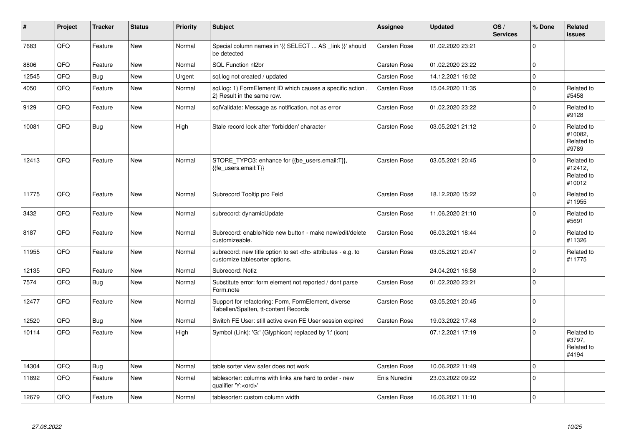| #     | Project | <b>Tracker</b> | <b>Status</b> | <b>Priority</b> | Subject                                                                                              | <b>Assignee</b>                                        | <b>Updated</b>      | OS/<br><b>Services</b> | % Done   | Related<br>issues                             |                      |
|-------|---------|----------------|---------------|-----------------|------------------------------------------------------------------------------------------------------|--------------------------------------------------------|---------------------|------------------------|----------|-----------------------------------------------|----------------------|
| 7683  | QFQ     | Feature        | <b>New</b>    | Normal          | Special column names in '{{ SELECT  AS _link }}' should<br>be detected                               | <b>Carsten Rose</b>                                    | 01.02.2020 23:21    |                        | $\Omega$ |                                               |                      |
| 8806  | QFQ     | Feature        | New           | Normal          | SQL Function nl2br                                                                                   | Carsten Rose                                           | 01.02.2020 23:22    |                        | 0        |                                               |                      |
| 12545 | QFQ     | <b>Bug</b>     | New           | Urgent          | sql.log not created / updated                                                                        | Carsten Rose                                           | 14.12.2021 16:02    |                        | 0        |                                               |                      |
| 4050  | QFQ     | Feature        | New           | Normal          | sql.log: 1) FormElement ID which causes a specific action,<br>2) Result in the same row.             | Carsten Rose                                           | 15.04.2020 11:35    |                        | 0        | Related to<br>#5458                           |                      |
| 9129  | QFQ     | Feature        | New           | Normal          | sqlValidate: Message as notification, not as error                                                   | Carsten Rose                                           | 01.02.2020 23:22    |                        | $\Omega$ | Related to<br>#9128                           |                      |
| 10081 | QFQ     | Bug            | New           | High            | Stale record lock after 'forbidden' character                                                        | Carsten Rose                                           | 03.05.2021 21:12    |                        | 0        | Related to<br>#10082,<br>Related to<br>#9789  |                      |
| 12413 | QFQ     | Feature        | <b>New</b>    | Normal          | STORE_TYPO3: enhance for {{be_users.email:T}},<br>{{fe users.email:T}}                               | <b>Carsten Rose</b>                                    | 03.05.2021 20:45    |                        | $\Omega$ | Related to<br>#12412,<br>Related to<br>#10012 |                      |
| 11775 | QFQ     | Feature        | New           | Normal          | Subrecord Tooltip pro Feld                                                                           | Carsten Rose                                           | 18.12.2020 15:22    |                        | 0        | Related to<br>#11955                          |                      |
| 3432  | QFQ     | Feature        | New           | Normal          | subrecord: dynamicUpdate                                                                             | Carsten Rose                                           | 11.06.2020 21:10    |                        | $\Omega$ | Related to<br>#5691                           |                      |
| 8187  | QFQ     | Feature        | New           | Normal          | Subrecord: enable/hide new button - make new/edit/delete<br>customizeable.                           | Carsten Rose                                           | 06.03.2021 18:44    |                        | 0        | Related to<br>#11326                          |                      |
| 11955 | QFQ     | Feature        | New           | Normal          | subrecord: new title option to set <th> attributes - e.g. to<br/>customize tablesorter options.</th> | attributes - e.g. to<br>customize tablesorter options. | <b>Carsten Rose</b> | 03.05.2021 20:47       |          | 0                                             | Related to<br>#11775 |
| 12135 | QFQ     | Feature        | New           | Normal          | Subrecord: Notiz                                                                                     |                                                        | 24.04.2021 16:58    |                        | 0        |                                               |                      |
| 7574  | QFQ     | <b>Bug</b>     | New           | Normal          | Substitute error: form element not reported / dont parse<br>Form.note                                | <b>Carsten Rose</b>                                    | 01.02.2020 23:21    |                        | 0        |                                               |                      |
| 12477 | QFQ     | Feature        | New           | Normal          | Support for refactoring: Form, FormElement, diverse<br>Tabellen/Spalten, tt-content Records          | Carsten Rose                                           | 03.05.2021 20:45    |                        | $\Omega$ |                                               |                      |
| 12520 | QFQ     | Bug            | New           | Normal          | Switch FE User: still active even FE User session expired                                            | Carsten Rose                                           | 19.03.2022 17:48    |                        | 0        |                                               |                      |
| 10114 | QFQ     | Feature        | <b>New</b>    | High            | Symbol (Link): 'G:' (Glyphicon) replaced by 'i:' (icon)                                              |                                                        | 07.12.2021 17:19    |                        | $\Omega$ | Related to<br>#3797,<br>Related to<br>#4194   |                      |
| 14304 | QFQ     | Bug            | New           | Normal          | table sorter view safer does not work                                                                | <b>Carsten Rose</b>                                    | 10.06.2022 11:49    |                        | 0        |                                               |                      |
| 11892 | QFQ     | Feature        | New           | Normal          | tablesorter: columns with links are hard to order - new<br>qualifier 'Y: <ord>'</ord>                | Enis Nuredini                                          | 23.03.2022 09:22    |                        | $\Omega$ |                                               |                      |
| 12679 | QFQ     | Feature        | New           | Normal          | tablesorter: custom column width                                                                     | <b>Carsten Rose</b>                                    | 16.06.2021 11:10    |                        | 0        |                                               |                      |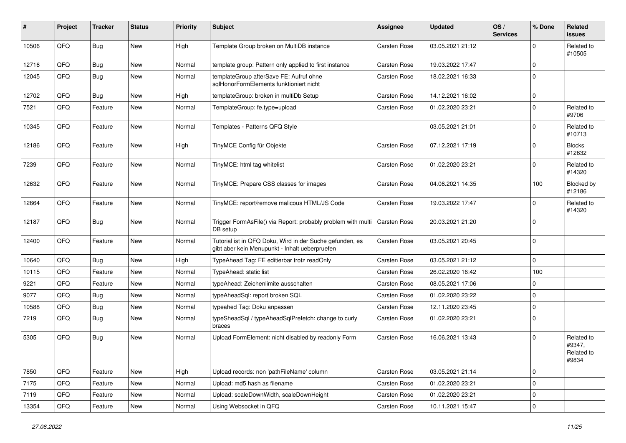| #     | Project | <b>Tracker</b> | <b>Status</b> | <b>Priority</b> | <b>Subject</b>                                                                                             | <b>Assignee</b> | <b>Updated</b>   | OS/<br><b>Services</b> | % Done      | Related<br>issues                           |
|-------|---------|----------------|---------------|-----------------|------------------------------------------------------------------------------------------------------------|-----------------|------------------|------------------------|-------------|---------------------------------------------|
| 10506 | QFQ     | Bug            | <b>New</b>    | High            | Template Group broken on MultiDB instance                                                                  | Carsten Rose    | 03.05.2021 21:12 |                        | $\Omega$    | Related to<br>#10505                        |
| 12716 | QFQ     | <b>Bug</b>     | <b>New</b>    | Normal          | template group: Pattern only applied to first instance                                                     | Carsten Rose    | 19.03.2022 17:47 |                        | $\Omega$    |                                             |
| 12045 | QFQ     | Bug            | <b>New</b>    | Normal          | templateGroup afterSave FE: Aufruf ohne<br>sqlHonorFormElements funktioniert nicht                         | Carsten Rose    | 18.02.2021 16:33 |                        | $\Omega$    |                                             |
| 12702 | QFQ     | Bug            | <b>New</b>    | High            | templateGroup: broken in multiDb Setup                                                                     | Carsten Rose    | 14.12.2021 16:02 |                        | $\mathbf 0$ |                                             |
| 7521  | QFQ     | Feature        | New           | Normal          | TemplateGroup: fe.type=upload                                                                              | Carsten Rose    | 01.02.2020 23:21 |                        | $\mathbf 0$ | Related to<br>#9706                         |
| 10345 | QFQ     | Feature        | New           | Normal          | Templates - Patterns QFQ Style                                                                             |                 | 03.05.2021 21:01 |                        | $\Omega$    | Related to<br>#10713                        |
| 12186 | QFQ     | Feature        | <b>New</b>    | High            | TinyMCE Config für Objekte                                                                                 | Carsten Rose    | 07.12.2021 17:19 |                        | $\mathbf 0$ | <b>Blocks</b><br>#12632                     |
| 7239  | QFQ     | Feature        | <b>New</b>    | Normal          | TinyMCE: html tag whitelist                                                                                | Carsten Rose    | 01.02.2020 23:21 |                        | $\mathbf 0$ | Related to<br>#14320                        |
| 12632 | QFQ     | Feature        | <b>New</b>    | Normal          | TinyMCE: Prepare CSS classes for images                                                                    | Carsten Rose    | 04.06.2021 14:35 |                        | 100         | Blocked by<br>#12186                        |
| 12664 | QFQ     | Feature        | New           | Normal          | TinyMCE: report/remove malicous HTML/JS Code                                                               | Carsten Rose    | 19.03.2022 17:47 |                        | $\Omega$    | Related to<br>#14320                        |
| 12187 | QFQ     | Bug            | <b>New</b>    | Normal          | Trigger FormAsFile() via Report: probably problem with multi<br>DB setup                                   | Carsten Rose    | 20.03.2021 21:20 |                        | $\Omega$    |                                             |
| 12400 | QFQ     | Feature        | <b>New</b>    | Normal          | Tutorial ist in QFQ Doku, Wird in der Suche gefunden, es<br>gibt aber kein Menupunkt - Inhalt ueberpruefen | Carsten Rose    | 03.05.2021 20:45 |                        | $\mathbf 0$ |                                             |
| 10640 | QFQ     | Bug            | <b>New</b>    | High            | TypeAhead Tag: FE editierbar trotz readOnly                                                                | Carsten Rose    | 03.05.2021 21:12 |                        | $\mathbf 0$ |                                             |
| 10115 | QFQ     | Feature        | <b>New</b>    | Normal          | TypeAhead: static list                                                                                     | Carsten Rose    | 26.02.2020 16:42 |                        | 100         |                                             |
| 9221  | QFQ     | Feature        | New           | Normal          | typeAhead: Zeichenlimite ausschalten                                                                       | Carsten Rose    | 08.05.2021 17:06 |                        | $\mathbf 0$ |                                             |
| 9077  | QFQ     | Bug            | <b>New</b>    | Normal          | typeAheadSql: report broken SQL                                                                            | Carsten Rose    | 01.02.2020 23:22 |                        | $\mathbf 0$ |                                             |
| 10588 | QFQ     | Bug            | <b>New</b>    | Normal          | typeahed Tag: Doku anpassen                                                                                | Carsten Rose    | 12.11.2020 23:45 |                        | $\mathbf 0$ |                                             |
| 7219  | QFQ     | <b>Bug</b>     | New           | Normal          | typeSheadSql / typeAheadSqlPrefetch: change to curly<br>braces                                             | Carsten Rose    | 01.02.2020 23:21 |                        | $\Omega$    |                                             |
| 5305  | QFQ     | Bug            | <b>New</b>    | Normal          | Upload FormElement: nicht disabled by readonly Form                                                        | Carsten Rose    | 16.06.2021 13:43 |                        | $\mathbf 0$ | Related to<br>#9347,<br>Related to<br>#9834 |
| 7850  | QFQ     | Feature        | New           | High            | Upload records: non 'pathFileName' column                                                                  | Carsten Rose    | 03.05.2021 21:14 |                        | $\pmb{0}$   |                                             |
| 7175  | QFQ     | Feature        | New           | Normal          | Upload: md5 hash as filename                                                                               | Carsten Rose    | 01.02.2020 23:21 |                        | 0           |                                             |
| 7119  | QFQ     | Feature        | <b>New</b>    | Normal          | Upload: scaleDownWidth, scaleDownHeight                                                                    | Carsten Rose    | 01.02.2020 23:21 |                        | 0           |                                             |
| 13354 | QFQ     | Feature        | New           | Normal          | Using Websocket in QFQ                                                                                     | Carsten Rose    | 10.11.2021 15:47 |                        | $\pmb{0}$   |                                             |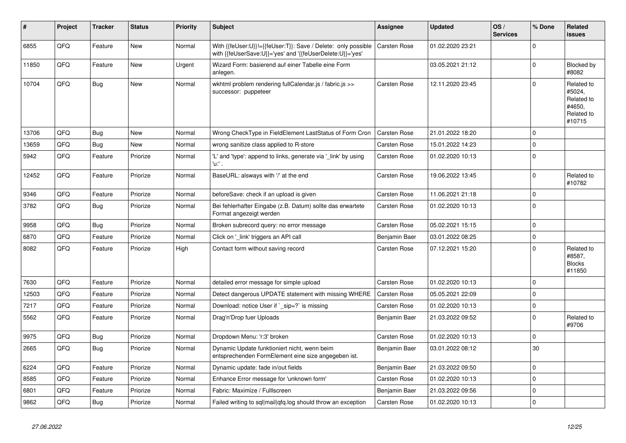| #     | Project | <b>Tracker</b> | <b>Status</b> | <b>Priority</b> | <b>Subject</b>                                                                                                             | <b>Assignee</b>     | <b>Updated</b>   | OS/<br><b>Services</b> | % Done      | <b>Related</b><br>issues                                             |
|-------|---------|----------------|---------------|-----------------|----------------------------------------------------------------------------------------------------------------------------|---------------------|------------------|------------------------|-------------|----------------------------------------------------------------------|
| 6855  | QFQ     | Feature        | <b>New</b>    | Normal          | With {{feUser:U}}!={{feUser:T}}: Save / Delete: only possible<br>with {{feUserSave:U}}='yes' and '{{feUserDelete:U}}='yes' | Carsten Rose        | 01.02.2020 23:21 |                        | $\Omega$    |                                                                      |
| 11850 | QFQ     | Feature        | <b>New</b>    | Urgent          | Wizard Form: basierend auf einer Tabelle eine Form<br>anlegen.                                                             |                     | 03.05.2021 21:12 |                        | $\mathbf 0$ | Blocked by<br>#8082                                                  |
| 10704 | QFQ     | Bug            | <b>New</b>    | Normal          | wkhtml problem rendering fullCalendar.js / fabric.js >><br>successor: puppeteer                                            | Carsten Rose        | 12.11.2020 23:45 |                        | $\Omega$    | Related to<br>#5024,<br>Related to<br>#4650,<br>Related to<br>#10715 |
| 13706 | QFQ     | <b>Bug</b>     | New           | Normal          | Wrong CheckType in FieldElement LastStatus of Form Cron                                                                    | Carsten Rose        | 21.01.2022 18:20 |                        | $\Omega$    |                                                                      |
| 13659 | QFQ     | Bug            | <b>New</b>    | Normal          | wrong sanitize class applied to R-store                                                                                    | <b>Carsten Rose</b> | 15.01.2022 14:23 |                        | $\Omega$    |                                                                      |
| 5942  | QFQ     | Feature        | Priorize      | Normal          | 'L' and 'type': append to links, generate via '_link' by using<br>'u:' .                                                   | Carsten Rose        | 01.02.2020 10:13 |                        | $\Omega$    |                                                                      |
| 12452 | QFQ     | Feature        | Priorize      | Normal          | BaseURL: alsways with '/' at the end                                                                                       | Carsten Rose        | 19.06.2022 13:45 |                        | $\Omega$    | Related to<br>#10782                                                 |
| 9346  | QFQ     | Feature        | Priorize      | Normal          | beforeSave: check if an upload is given                                                                                    | Carsten Rose        | 11.06.2021 21:18 |                        | $\mathbf 0$ |                                                                      |
| 3782  | QFQ     | Bug            | Priorize      | Normal          | Bei fehlerhafter Eingabe (z.B. Datum) sollte das erwartete<br>Format angezeigt werden                                      | Carsten Rose        | 01.02.2020 10:13 |                        | $\Omega$    |                                                                      |
| 9958  | QFQ     | <b>Bug</b>     | Priorize      | Normal          | Broken subrecord query: no error message                                                                                   | Carsten Rose        | 05.02.2021 15:15 |                        | $\Omega$    |                                                                      |
| 6870  | QFQ     | Feature        | Priorize      | Normal          | Click on '_link' triggers an API call                                                                                      | Benjamin Baer       | 03.01.2022 08:25 |                        | $\Omega$    |                                                                      |
| 8082  | QFQ     | Feature        | Priorize      | High            | Contact form without saving record                                                                                         | Carsten Rose        | 07.12.2021 15:20 |                        | $\Omega$    | Related to<br>#8587,<br><b>Blocks</b><br>#11850                      |
| 7630  | QFQ     | Feature        | Priorize      | Normal          | detailed error message for simple upload                                                                                   | <b>Carsten Rose</b> | 01.02.2020 10:13 |                        | $\Omega$    |                                                                      |
| 12503 | QFQ     | Feature        | Priorize      | Normal          | Detect dangerous UPDATE statement with missing WHERE                                                                       | Carsten Rose        | 05.05.2021 22:09 |                        | $\Omega$    |                                                                      |
| 7217  | QFQ     | Feature        | Priorize      | Normal          | Download: notice User if `_sip=?` is missing                                                                               | Carsten Rose        | 01.02.2020 10:13 |                        | $\Omega$    |                                                                      |
| 5562  | QFQ     | Feature        | Priorize      | Normal          | Drag'n'Drop fuer Uploads                                                                                                   | Benjamin Baer       | 21.03.2022 09:52 |                        | $\Omega$    | Related to<br>#9706                                                  |
| 9975  | QFQ     | <b>Bug</b>     | Priorize      | Normal          | Dropdown Menu: 'r:3' broken                                                                                                | Carsten Rose        | 01.02.2020 10:13 |                        | $\Omega$    |                                                                      |
| 2665  | QFQ     | Bug            | Priorize      | Normal          | Dynamic Update funktioniert nicht, wenn beim<br>entsprechenden FormElement eine size angegeben ist.                        | Benjamin Baer       | 03.01.2022 08:12 |                        | 30          |                                                                      |
| 6224  | QFQ     | Feature        | Priorize      | Normal          | Dynamic update: fade in/out fields                                                                                         | Benjamin Baer       | 21.03.2022 09:50 |                        | 0           |                                                                      |
| 8585  | QFQ     | Feature        | Priorize      | Normal          | Enhance Error message for 'unknown form'                                                                                   | Carsten Rose        | 01.02.2020 10:13 |                        | $\Omega$    |                                                                      |
| 6801  | QFQ     | Feature        | Priorize      | Normal          | Fabric: Maximize / Fulllscreen                                                                                             | Benjamin Baer       | 21.03.2022 09:56 |                        | $\Omega$    |                                                                      |
| 9862  | QFQ     | Bug            | Priorize      | Normal          | Failed writing to sql mail qfq.log should throw an exception                                                               | Carsten Rose        | 01.02.2020 10:13 |                        | $\Omega$    |                                                                      |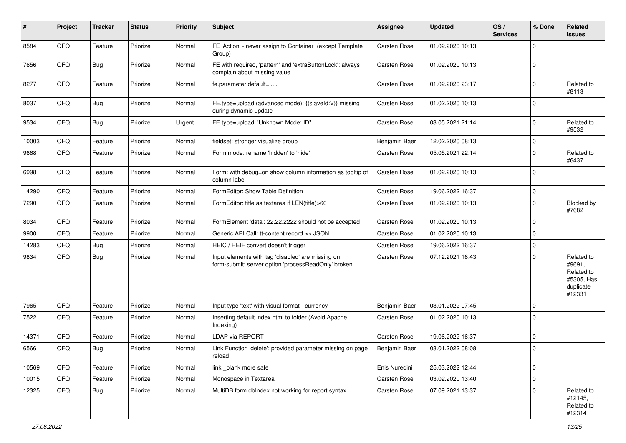| ∦     | Project | <b>Tracker</b> | <b>Status</b> | <b>Priority</b> | Subject                                                                                                  | <b>Assignee</b>     | <b>Updated</b>   | OS/<br><b>Services</b> | % Done      | <b>Related</b><br>issues                                                |
|-------|---------|----------------|---------------|-----------------|----------------------------------------------------------------------------------------------------------|---------------------|------------------|------------------------|-------------|-------------------------------------------------------------------------|
| 8584  | QFQ     | Feature        | Priorize      | Normal          | FE 'Action' - never assign to Container (except Template<br>Group)                                       | Carsten Rose        | 01.02.2020 10:13 |                        | $\Omega$    |                                                                         |
| 7656  | QFQ     | Bug            | Priorize      | Normal          | FE with required, 'pattern' and 'extraButtonLock': always<br>complain about missing value                | Carsten Rose        | 01.02.2020 10:13 |                        | $\Omega$    |                                                                         |
| 8277  | QFQ     | Feature        | Priorize      | Normal          | fe.parameter.default=                                                                                    | Carsten Rose        | 01.02.2020 23:17 |                        | $\Omega$    | Related to<br>#8113                                                     |
| 8037  | QFQ     | <b>Bug</b>     | Priorize      | Normal          | FE.type=upload (advanced mode): {{slaveld:V}} missing<br>during dynamic update                           | Carsten Rose        | 01.02.2020 10:13 |                        | $\Omega$    |                                                                         |
| 9534  | QFQ     | Bug            | Priorize      | Urgent          | FE.type=upload: 'Unknown Mode: ID"                                                                       | Carsten Rose        | 03.05.2021 21:14 |                        | $\Omega$    | Related to<br>#9532                                                     |
| 10003 | QFQ     | Feature        | Priorize      | Normal          | fieldset: stronger visualize group                                                                       | Benjamin Baer       | 12.02.2020 08:13 |                        | $\Omega$    |                                                                         |
| 9668  | QFQ     | Feature        | Priorize      | Normal          | Form.mode: rename 'hidden' to 'hide'                                                                     | Carsten Rose        | 05.05.2021 22:14 |                        | $\Omega$    | Related to<br>#6437                                                     |
| 6998  | QFQ     | Feature        | Priorize      | Normal          | Form: with debug=on show column information as tooltip of<br>column label                                | Carsten Rose        | 01.02.2020 10:13 |                        | $\Omega$    |                                                                         |
| 14290 | QFQ     | Feature        | Priorize      | Normal          | FormEditor: Show Table Definition                                                                        | Carsten Rose        | 19.06.2022 16:37 |                        | $\mathbf 0$ |                                                                         |
| 7290  | QFQ     | Feature        | Priorize      | Normal          | FormEditor: title as textarea if LEN(title)>60                                                           | Carsten Rose        | 01.02.2020 10:13 |                        | $\Omega$    | <b>Blocked by</b><br>#7682                                              |
| 8034  | QFQ     | Feature        | Priorize      | Normal          | FormElement 'data': 22.22.2222 should not be accepted                                                    | Carsten Rose        | 01.02.2020 10:13 |                        | $\Omega$    |                                                                         |
| 9900  | QFQ     | Feature        | Priorize      | Normal          | Generic API Call: tt-content record >> JSON                                                              | Carsten Rose        | 01.02.2020 10:13 |                        | $\Omega$    |                                                                         |
| 14283 | QFQ     | Bug            | Priorize      | Normal          | HEIC / HEIF convert doesn't trigger                                                                      | Carsten Rose        | 19.06.2022 16:37 |                        | $\Omega$    |                                                                         |
| 9834  | QFQ     | Bug            | Priorize      | Normal          | Input elements with tag 'disabled' are missing on<br>form-submit: server option 'processReadOnly' broken | Carsten Rose        | 07.12.2021 16:43 |                        | $\Omega$    | Related to<br>#9691,<br>Related to<br>#5305, Has<br>duplicate<br>#12331 |
| 7965  | QFQ     | Feature        | Priorize      | Normal          | Input type 'text' with visual format - currency                                                          | Benjamin Baer       | 03.01.2022 07:45 |                        | $\Omega$    |                                                                         |
| 7522  | QFQ     | Feature        | Priorize      | Normal          | Inserting default index.html to folder (Avoid Apache<br>Indexing)                                        | Carsten Rose        | 01.02.2020 10:13 |                        | $\Omega$    |                                                                         |
| 14371 | QFQ     | Feature        | Priorize      | Normal          | <b>LDAP via REPORT</b>                                                                                   | <b>Carsten Rose</b> | 19.06.2022 16:37 |                        | $\Omega$    |                                                                         |
| 6566  | QFQ     | Bug            | Priorize      | Normal          | Link Function 'delete': provided parameter missing on page<br>reload                                     | Benjamin Baer       | 03.01.2022 08:08 |                        | $\Omega$    |                                                                         |
| 10569 | QFQ     | Feature        | Priorize      | Normal          | link blank more safe                                                                                     | Enis Nuredini       | 25.03.2022 12:44 |                        | 0           |                                                                         |
| 10015 | QFQ     | Feature        | Priorize      | Normal          | Monospace in Textarea                                                                                    | Carsten Rose        | 03.02.2020 13:40 |                        | $\mathbf 0$ |                                                                         |
| 12325 | QFQ     | <b>Bug</b>     | Priorize      | Normal          | MultiDB form.dblndex not working for report syntax                                                       | Carsten Rose        | 07.09.2021 13:37 |                        | $\Omega$    | Related to<br>#12145,<br>Related to<br>#12314                           |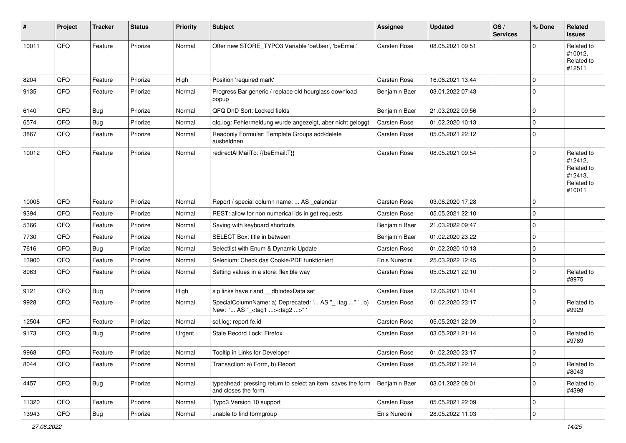| #     | Project | <b>Tracker</b> | <b>Status</b> | <b>Priority</b> | Subject                                                                                           | <b>Assignee</b>     | <b>Updated</b>   | OS/<br><b>Services</b> | % Done      | <b>Related</b><br>issues                                               |
|-------|---------|----------------|---------------|-----------------|---------------------------------------------------------------------------------------------------|---------------------|------------------|------------------------|-------------|------------------------------------------------------------------------|
| 10011 | QFQ     | Feature        | Priorize      | Normal          | Offer new STORE_TYPO3 Variable 'beUser', 'beEmail'                                                | Carsten Rose        | 08.05.2021 09:51 |                        | $\Omega$    | Related to<br>#10012,<br>Related to<br>#12511                          |
| 8204  | QFQ     | Feature        | Priorize      | High            | Position 'required mark'                                                                          | Carsten Rose        | 16.06.2021 13:44 |                        | $\mathbf 0$ |                                                                        |
| 9135  | QFQ     | Feature        | Priorize      | Normal          | Progress Bar generic / replace old hourglass download<br>popup                                    | Benjamin Baer       | 03.01.2022 07:43 |                        | $\mathbf 0$ |                                                                        |
| 6140  | QFQ     | Bug            | Priorize      | Normal          | QFQ DnD Sort: Locked fields                                                                       | Benjamin Baer       | 21.03.2022 09:56 |                        | $\mathbf 0$ |                                                                        |
| 6574  | QFQ     | Bug            | Priorize      | Normal          | qfq.log: Fehlermeldung wurde angezeigt, aber nicht geloggt                                        | Carsten Rose        | 01.02.2020 10:13 |                        | $\mathbf 0$ |                                                                        |
| 3867  | QFQ     | Feature        | Priorize      | Normal          | Readonly Formular: Template Groups add/delete<br>ausbeldnen                                       | Carsten Rose        | 05.05.2021 22:12 |                        | $\mathbf 0$ |                                                                        |
| 10012 | QFQ     | Feature        | Priorize      | Normal          | redirectAllMailTo: {{beEmail:T}}                                                                  | Carsten Rose        | 08.05.2021 09:54 |                        | $\mathbf 0$ | Related to<br>#12412,<br>Related to<br>#12413,<br>Related to<br>#10011 |
| 10005 | QFQ     | Feature        | Priorize      | Normal          | Report / special column name:  AS _calendar                                                       | Carsten Rose        | 03.06.2020 17:28 |                        | $\mathbf 0$ |                                                                        |
| 9394  | QFQ     | Feature        | Priorize      | Normal          | REST: allow for non numerical ids in get requests                                                 | Carsten Rose        | 05.05.2021 22:10 |                        | $\Omega$    |                                                                        |
| 5366  | QFQ     | Feature        | Priorize      | Normal          | Saving with keyboard shortcuts                                                                    | Benjamin Baer       | 21.03.2022 09:47 |                        | $\mathbf 0$ |                                                                        |
| 7730  | QFQ     | Feature        | Priorize      | Normal          | SELECT Box: title in between                                                                      | Benjamin Baer       | 01.02.2020 23:22 |                        | $\mathbf 0$ |                                                                        |
| 7616  | QFQ     | Bug            | Priorize      | Normal          | Selectlist with Enum & Dynamic Update                                                             | Carsten Rose        | 01.02.2020 10:13 |                        | $\Omega$    |                                                                        |
| 13900 | QFQ     | Feature        | Priorize      | Normal          | Selenium: Check das Cookie/PDF funktioniert                                                       | Enis Nuredini       | 25.03.2022 12:45 |                        | $\mathbf 0$ |                                                                        |
| 8963  | QFQ     | Feature        | Priorize      | Normal          | Setting values in a store: flexible way                                                           | Carsten Rose        | 05.05.2021 22:10 |                        | $\mathbf 0$ | Related to<br>#8975                                                    |
| 9121  | QFQ     | <b>Bug</b>     | Priorize      | High            | sip links have r and __dbIndexData set                                                            | Carsten Rose        | 12.06.2021 10:41 |                        | $\mathbf 0$ |                                                                        |
| 9928  | QFQ     | Feature        | Priorize      | Normal          | SpecialColumnName: a) Deprecated: ' AS "_+tag " ', b)<br>New: ' AS "_ <tag1><tag2>"</tag2></tag1> | Carsten Rose        | 01.02.2020 23:17 |                        | $\mathbf 0$ | Related to<br>#9929                                                    |
| 12504 | QFQ     | Feature        | Priorize      | Normal          | sql.log: report fe.id                                                                             | Carsten Rose        | 05.05.2021 22:09 |                        | $\mathbf 0$ |                                                                        |
| 9173  | QFQ     | Bug            | Priorize      | Urgent          | Stale Record Lock: Firefox                                                                        | Carsten Rose        | 03.05.2021 21:14 |                        | $\Omega$    | Related to<br>#9789                                                    |
| 9968  | QFQ     | Feature        | Priorize      | Normal          | Tooltip in Links for Developer                                                                    | <b>Carsten Rose</b> | 01.02.2020 23:17 |                        | $\mathbf 0$ |                                                                        |
| 8044  | QFQ     | Feature        | Priorize      | Normal          | Transaction: a) Form, b) Report                                                                   | Carsten Rose        | 05.05.2021 22:14 |                        | $\mathbf 0$ | Related to<br>#8043                                                    |
| 4457  | QFQ     | <b>Bug</b>     | Priorize      | Normal          | typeahead: pressing return to select an item, saves the form<br>and closes the form.              | Benjamin Baer       | 03.01.2022 08:01 |                        | 0           | Related to<br>#4398                                                    |
| 11320 | QFQ     | Feature        | Priorize      | Normal          | Typo3 Version 10 support                                                                          | Carsten Rose        | 05.05.2021 22:09 |                        | $\mathbf 0$ |                                                                        |
| 13943 | QFG     | Bug            | Priorize      | Normal          | unable to find formgroup                                                                          | Enis Nuredini       | 28.05.2022 11:03 |                        | $\mathbf 0$ |                                                                        |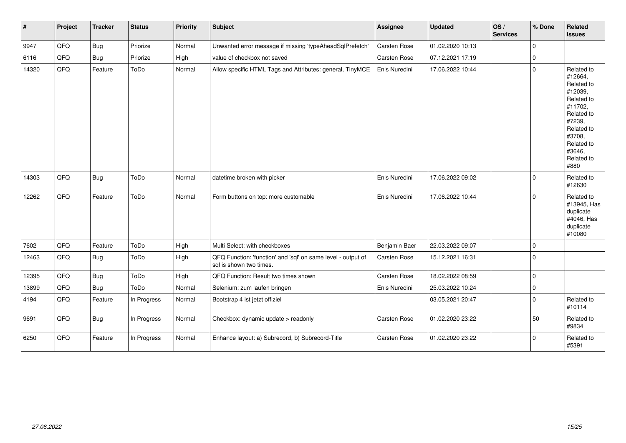| $\vert$ # | Project | <b>Tracker</b> | <b>Status</b> | <b>Priority</b> | <b>Subject</b>                                                                          | <b>Assignee</b> | Updated          | OS/<br><b>Services</b> | % Done      | Related<br>issues                                                                                                                                                     |
|-----------|---------|----------------|---------------|-----------------|-----------------------------------------------------------------------------------------|-----------------|------------------|------------------------|-------------|-----------------------------------------------------------------------------------------------------------------------------------------------------------------------|
| 9947      | QFQ     | Bug            | Priorize      | Normal          | Unwanted error message if missing 'typeAheadSqlPrefetch'                                | Carsten Rose    | 01.02.2020 10:13 |                        | $\Omega$    |                                                                                                                                                                       |
| 6116      | QFQ     | Bug            | Priorize      | High            | value of checkbox not saved                                                             | Carsten Rose    | 07.12.2021 17:19 |                        | $\Omega$    |                                                                                                                                                                       |
| 14320     | QFQ     | Feature        | ToDo          | Normal          | Allow specific HTML Tags and Attributes: general, TinyMCE                               | Enis Nuredini   | 17.06.2022 10:44 |                        | $\Omega$    | Related to<br>#12664,<br>Related to<br>#12039,<br>Related to<br>#11702,<br>Related to<br>#7239,<br>Related to<br>#3708,<br>Related to<br>#3646,<br>Related to<br>#880 |
| 14303     | QFQ     | Bug            | ToDo          | Normal          | datetime broken with picker                                                             | Enis Nuredini   | 17.06.2022 09:02 |                        | $\Omega$    | Related to<br>#12630                                                                                                                                                  |
| 12262     | QFQ     | Feature        | ToDo          | Normal          | Form buttons on top: more customable                                                    | Enis Nuredini   | 17.06.2022 10:44 |                        | $\Omega$    | Related to<br>#13945, Has<br>duplicate<br>#4046, Has<br>duplicate<br>#10080                                                                                           |
| 7602      | QFQ     | Feature        | ToDo          | High            | Multi Select: with checkboxes                                                           | Benjamin Baer   | 22.03.2022 09:07 |                        | $\Omega$    |                                                                                                                                                                       |
| 12463     | QFO     | Bug            | ToDo          | High            | QFQ Function: 'function' and 'sql' on same level - output of<br>sal is shown two times. | Carsten Rose    | 15.12.2021 16:31 |                        | $\Omega$    |                                                                                                                                                                       |
| 12395     | QFQ     | <b>Bug</b>     | ToDo          | High            | QFQ Function: Result two times shown                                                    | Carsten Rose    | 18.02.2022 08:59 |                        | $\mathbf 0$ |                                                                                                                                                                       |
| 13899     | QFQ     | Bug            | ToDo          | Normal          | Selenium: zum laufen bringen                                                            | Enis Nuredini   | 25.03.2022 10:24 |                        | $\Omega$    |                                                                                                                                                                       |
| 4194      | QFQ     | Feature        | In Progress   | Normal          | Bootstrap 4 ist jetzt offiziel                                                          |                 | 03.05.2021 20:47 |                        | $\Omega$    | Related to<br>#10114                                                                                                                                                  |
| 9691      | QFQ     | Bug            | In Progress   | Normal          | Checkbox: dynamic update > readonly                                                     | Carsten Rose    | 01.02.2020 23:22 |                        | 50          | Related to<br>#9834                                                                                                                                                   |
| 6250      | QFQ     | Feature        | In Progress   | Normal          | Enhance layout: a) Subrecord, b) Subrecord-Title                                        | Carsten Rose    | 01.02.2020 23:22 |                        | $\Omega$    | Related to<br>#5391                                                                                                                                                   |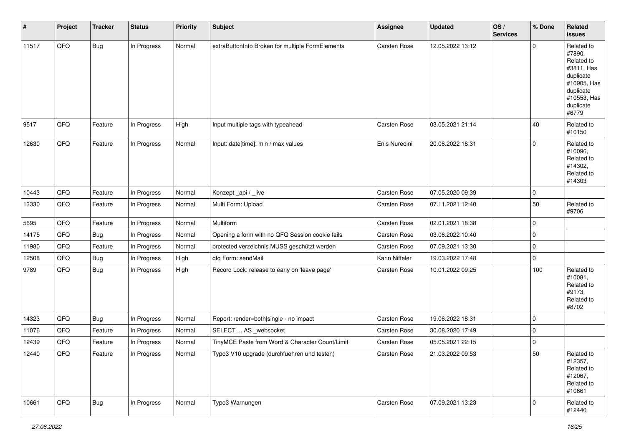| #     | Project | <b>Tracker</b> | <b>Status</b> | <b>Priority</b> | Subject                                          | <b>Assignee</b>     | <b>Updated</b>   | OS/<br><b>Services</b> | % Done      | Related<br>issues                                                                                                              |
|-------|---------|----------------|---------------|-----------------|--------------------------------------------------|---------------------|------------------|------------------------|-------------|--------------------------------------------------------------------------------------------------------------------------------|
| 11517 | QFQ     | Bug            | In Progress   | Normal          | extraButtonInfo Broken for multiple FormElements | Carsten Rose        | 12.05.2022 13:12 |                        | $\mathbf 0$ | Related to<br>#7890,<br>Related to<br>#3811, Has<br>duplicate<br>#10905, Has<br>duplicate<br>#10553, Has<br>duplicate<br>#6779 |
| 9517  | QFQ     | Feature        | In Progress   | High            | Input multiple tags with typeahead               | Carsten Rose        | 03.05.2021 21:14 |                        | 40          | Related to<br>#10150                                                                                                           |
| 12630 | QFQ     | Feature        | In Progress   | Normal          | Input: date[time]: min / max values              | Enis Nuredini       | 20.06.2022 18:31 |                        | $\mathbf 0$ | Related to<br>#10096,<br>Related to<br>#14302,<br>Related to<br>#14303                                                         |
| 10443 | QFQ     | Feature        | In Progress   | Normal          | Konzept_api / _live                              | <b>Carsten Rose</b> | 07.05.2020 09:39 |                        | $\mathbf 0$ |                                                                                                                                |
| 13330 | QFQ     | Feature        | In Progress   | Normal          | Multi Form: Upload                               | Carsten Rose        | 07.11.2021 12:40 |                        | 50          | Related to<br>#9706                                                                                                            |
| 5695  | QFQ     | Feature        | In Progress   | Normal          | Multiform                                        | Carsten Rose        | 02.01.2021 18:38 |                        | $\mathbf 0$ |                                                                                                                                |
| 14175 | QFQ     | <b>Bug</b>     | In Progress   | Normal          | Opening a form with no QFQ Session cookie fails  | Carsten Rose        | 03.06.2022 10:40 |                        | $\mathbf 0$ |                                                                                                                                |
| 11980 | QFQ     | Feature        | In Progress   | Normal          | protected verzeichnis MUSS geschützt werden      | Carsten Rose        | 07.09.2021 13:30 |                        | 0           |                                                                                                                                |
| 12508 | QFQ     | <b>Bug</b>     | In Progress   | High            | qfq Form: sendMail                               | Karin Niffeler      | 19.03.2022 17:48 |                        | 0           |                                                                                                                                |
| 9789  | QFQ     | <b>Bug</b>     | In Progress   | High            | Record Lock: release to early on 'leave page'    | Carsten Rose        | 10.01.2022 09:25 |                        | 100         | Related to<br>#10081,<br>Related to<br>#9173,<br>Related to<br>#8702                                                           |
| 14323 | QFQ     | <b>Bug</b>     | In Progress   | Normal          | Report: render=both single - no impact           | Carsten Rose        | 19.06.2022 18:31 |                        | $\mathbf 0$ |                                                                                                                                |
| 11076 | QFQ     | Feature        | In Progress   | Normal          | SELECT  AS _websocket                            | Carsten Rose        | 30.08.2020 17:49 |                        | 0           |                                                                                                                                |
| 12439 | QFQ     | Feature        | In Progress   | Normal          | TinyMCE Paste from Word & Character Count/Limit  | Carsten Rose        | 05.05.2021 22:15 |                        | $\mathbf 0$ |                                                                                                                                |
| 12440 | QFQ     | Feature        | In Progress   | Normal          | Typo3 V10 upgrade (durchfuehren und testen)      | Carsten Rose        | 21.03.2022 09:53 |                        | $50\,$      | Related to<br>#12357,<br>Related to<br>#12067,<br>Related to<br>#10661                                                         |
| 10661 | QFQ     | <b>Bug</b>     | In Progress   | Normal          | Typo3 Warnungen                                  | Carsten Rose        | 07.09.2021 13:23 |                        | $\mathbf 0$ | Related to<br>#12440                                                                                                           |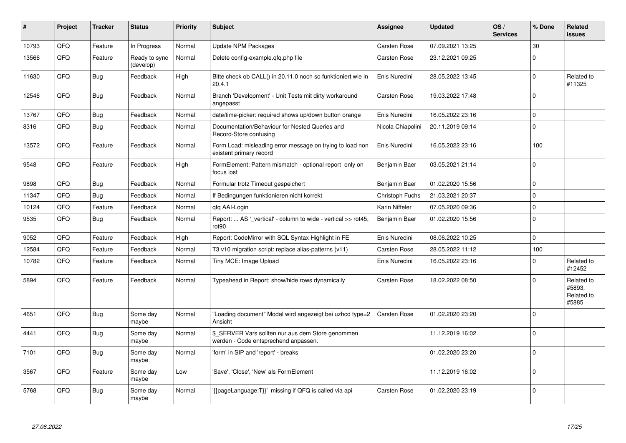| ∦     | Project | <b>Tracker</b> | <b>Status</b>              | <b>Priority</b> | <b>Subject</b>                                                                            | <b>Assignee</b>     | <b>Updated</b>   | OS/<br><b>Services</b> | % Done      | Related<br><b>issues</b>                    |
|-------|---------|----------------|----------------------------|-----------------|-------------------------------------------------------------------------------------------|---------------------|------------------|------------------------|-------------|---------------------------------------------|
| 10793 | QFQ     | Feature        | In Progress                | Normal          | <b>Update NPM Packages</b>                                                                | <b>Carsten Rose</b> | 07.09.2021 13:25 |                        | 30          |                                             |
| 13566 | QFQ     | Feature        | Ready to sync<br>(develop) | Normal          | Delete config-example.gfg.php file                                                        | Carsten Rose        | 23.12.2021 09:25 |                        | $\mathbf 0$ |                                             |
| 11630 | QFQ     | <b>Bug</b>     | Feedback                   | High            | Bitte check ob CALL() in 20.11.0 noch so funktioniert wie in<br>20.4.1                    | Enis Nuredini       | 28.05.2022 13:45 |                        | $\mathbf 0$ | Related to<br>#11325                        |
| 12546 | QFQ     | Bug            | Feedback                   | Normal          | Branch 'Development' - Unit Tests mit dirty workaround<br>angepasst                       | Carsten Rose        | 19.03.2022 17:48 |                        | $\mathbf 0$ |                                             |
| 13767 | QFQ     | Bug            | Feedback                   | Normal          | date/time-picker: required shows up/down button orange                                    | Enis Nuredini       | 16.05.2022 23:16 |                        | $\pmb{0}$   |                                             |
| 8316  | QFQ     | <b>Bug</b>     | Feedback                   | Normal          | Documentation/Behaviour for Nested Queries and<br>Record-Store confusing                  | Nicola Chiapolini   | 20.11.2019 09:14 |                        | $\Omega$    |                                             |
| 13572 | QFQ     | Feature        | Feedback                   | Normal          | Form Load: misleading error message on trying to load non<br>existent primary record      | Enis Nuredini       | 16.05.2022 23:16 |                        | 100         |                                             |
| 9548  | QFQ     | Feature        | Feedback                   | High            | FormElement: Pattern mismatch - optional report only on<br>focus lost                     | Benjamin Baer       | 03.05.2021 21:14 |                        | $\mathbf 0$ |                                             |
| 9898  | QFQ     | Bug            | Feedback                   | Normal          | Formular trotz Timeout gespeichert                                                        | Benjamin Baer       | 01.02.2020 15:56 |                        | $\mathbf 0$ |                                             |
| 11347 | QFQ     | Bug            | Feedback                   | Normal          | If Bedingungen funktionieren nicht korrekt                                                | Christoph Fuchs     | 21.03.2021 20:37 |                        | $\mathbf 0$ |                                             |
| 10124 | QFQ     | Feature        | Feedback                   | Normal          | qfq AAI-Login                                                                             | Karin Niffeler      | 07.05.2020 09:36 |                        | $\pmb{0}$   |                                             |
| 9535  | QFQ     | <b>Bug</b>     | Feedback                   | Normal          | Report:  AS ' vertical' - column to wide - vertical >> rot45,<br>rot90                    | Benjamin Baer       | 01.02.2020 15:56 |                        | $\mathbf 0$ |                                             |
| 9052  | QFQ     | Feature        | Feedback                   | High            | Report: CodeMirror with SQL Syntax Highlight in FE                                        | Enis Nuredini       | 08.06.2022 10:25 |                        | $\mathbf 0$ |                                             |
| 12584 | QFQ     | Feature        | Feedback                   | Normal          | T3 v10 migration script: replace alias-patterns (v11)                                     | <b>Carsten Rose</b> | 28.05.2022 11:12 |                        | 100         |                                             |
| 10782 | QFQ     | Feature        | Feedback                   | Normal          | Tiny MCE: Image Upload                                                                    | Enis Nuredini       | 16.05.2022 23:16 |                        | $\mathbf 0$ | Related to<br>#12452                        |
| 5894  | QFQ     | Feature        | Feedback                   | Normal          | Typeahead in Report: show/hide rows dynamically                                           | Carsten Rose        | 18.02.2022 08:50 |                        | $\mathbf 0$ | Related to<br>#5893.<br>Related to<br>#5885 |
| 4651  | QFQ     | <b>Bug</b>     | Some day<br>maybe          | Normal          | "Loading document" Modal wird angezeigt bei uzhcd type=2<br>Ansicht                       | Carsten Rose        | 01.02.2020 23:20 |                        | $\Omega$    |                                             |
| 4441  | QFQ     | <b>Bug</b>     | Some day<br>maybe          | Normal          | \$_SERVER Vars sollten nur aus dem Store genommen<br>werden - Code entsprechend anpassen. |                     | 11.12.2019 16:02 |                        | $\Omega$    |                                             |
| 7101  | QFQ     | Bug            | Some day<br>maybe          | Normal          | 'form' in SIP and 'report' - breaks                                                       |                     | 01.02.2020 23:20 |                        | $\Omega$    |                                             |
| 3567  | QFQ     | Feature        | Some day<br>maybe          | Low             | 'Save', 'Close', 'New' als FormElement                                                    |                     | 11.12.2019 16:02 |                        | $\mathbf 0$ |                                             |
| 5768  | QFQ     | <b>Bug</b>     | Some day<br>maybe          | Normal          | '{{pageLanguage:T}}' missing if QFQ is called via api                                     | Carsten Rose        | 01.02.2020 23:19 |                        | $\Omega$    |                                             |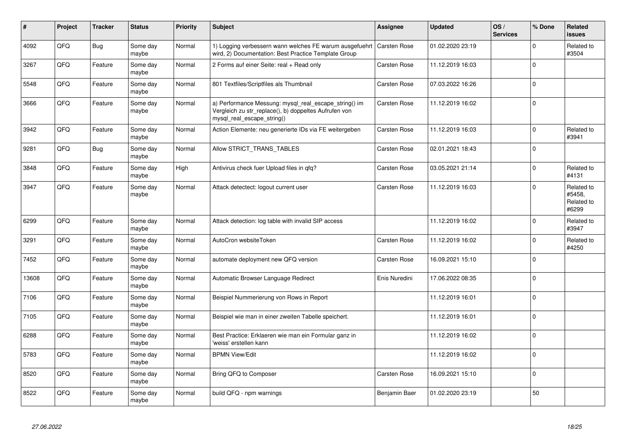| #     | Project | <b>Tracker</b> | <b>Status</b>     | <b>Priority</b> | <b>Subject</b>                                                                                                                               | Assignee            | <b>Updated</b>   | OS/<br><b>Services</b> | % Done      | Related<br><b>issues</b>                    |
|-------|---------|----------------|-------------------|-----------------|----------------------------------------------------------------------------------------------------------------------------------------------|---------------------|------------------|------------------------|-------------|---------------------------------------------|
| 4092  | QFQ     | Bug            | Some day<br>maybe | Normal          | 1) Logging verbessern wann welches FE warum ausgefuehrt<br>wird, 2) Documentation: Best Practice Template Group                              | <b>Carsten Rose</b> | 01.02.2020 23:19 |                        | $\Omega$    | Related to<br>#3504                         |
| 3267  | QFQ     | Feature        | Some day<br>maybe | Normal          | 2 Forms auf einer Seite: real + Read only                                                                                                    | <b>Carsten Rose</b> | 11.12.2019 16:03 |                        | $\Omega$    |                                             |
| 5548  | QFQ     | Feature        | Some day<br>maybe | Normal          | 801 Textfiles/Scriptfiles als Thumbnail                                                                                                      | Carsten Rose        | 07.03.2022 16:26 |                        | $\mathbf 0$ |                                             |
| 3666  | QFQ     | Feature        | Some day<br>maybe | Normal          | a) Performance Messung: mysql_real_escape_string() im<br>Vergleich zu str_replace(), b) doppeltes Aufrufen von<br>mysql_real_escape_string() | Carsten Rose        | 11.12.2019 16:02 |                        | $\mathbf 0$ |                                             |
| 3942  | QFQ     | Feature        | Some day<br>maybe | Normal          | Action Elemente: neu generierte IDs via FE weitergeben                                                                                       | Carsten Rose        | 11.12.2019 16:03 |                        | $\Omega$    | Related to<br>#3941                         |
| 9281  | QFQ     | <b>Bug</b>     | Some day<br>maybe | Normal          | Allow STRICT_TRANS_TABLES                                                                                                                    | Carsten Rose        | 02.01.2021 18:43 |                        | $\mathbf 0$ |                                             |
| 3848  | QFQ     | Feature        | Some day<br>maybe | High            | Antivirus check fuer Upload files in qfq?                                                                                                    | Carsten Rose        | 03.05.2021 21:14 |                        | $\mathbf 0$ | Related to<br>#4131                         |
| 3947  | QFQ     | Feature        | Some day<br>maybe | Normal          | Attack detectect: logout current user                                                                                                        | <b>Carsten Rose</b> | 11.12.2019 16:03 |                        | $\mathbf 0$ | Related to<br>#5458,<br>Related to<br>#6299 |
| 6299  | QFQ     | Feature        | Some day<br>maybe | Normal          | Attack detection: log table with invalid SIP access                                                                                          |                     | 11.12.2019 16:02 |                        | $\Omega$    | Related to<br>#3947                         |
| 3291  | QFQ     | Feature        | Some day<br>maybe | Normal          | AutoCron websiteToken                                                                                                                        | Carsten Rose        | 11.12.2019 16:02 |                        | $\Omega$    | Related to<br>#4250                         |
| 7452  | QFQ     | Feature        | Some day<br>maybe | Normal          | automate deployment new QFQ version                                                                                                          | Carsten Rose        | 16.09.2021 15:10 |                        | $\mathbf 0$ |                                             |
| 13608 | QFQ     | Feature        | Some day<br>maybe | Normal          | Automatic Browser Language Redirect                                                                                                          | Enis Nuredini       | 17.06.2022 08:35 |                        | $\mathbf 0$ |                                             |
| 7106  | QFQ     | Feature        | Some day<br>maybe | Normal          | Beispiel Nummerierung von Rows in Report                                                                                                     |                     | 11.12.2019 16:01 |                        | $\mathbf 0$ |                                             |
| 7105  | QFQ     | Feature        | Some day<br>maybe | Normal          | Beispiel wie man in einer zweiten Tabelle speichert.                                                                                         |                     | 11.12.2019 16:01 |                        | $\mathbf 0$ |                                             |
| 6288  | QFQ     | Feature        | Some day<br>maybe | Normal          | Best Practice: Erklaeren wie man ein Formular ganz in<br>'weiss' erstellen kann                                                              |                     | 11.12.2019 16:02 |                        | $\Omega$    |                                             |
| 5783  | QFQ     | Feature        | Some day<br>maybe | Normal          | <b>BPMN View/Edit</b>                                                                                                                        |                     | 11.12.2019 16:02 |                        | $\mathbf 0$ |                                             |
| 8520  | QFQ     | Feature        | Some day<br>maybe | Normal          | Bring QFQ to Composer                                                                                                                        | Carsten Rose        | 16.09.2021 15:10 |                        | $\mathbf 0$ |                                             |
| 8522  | QFQ     | Feature        | Some day<br>maybe | Normal          | build QFQ - npm warnings                                                                                                                     | Benjamin Baer       | 01.02.2020 23:19 |                        | 50          |                                             |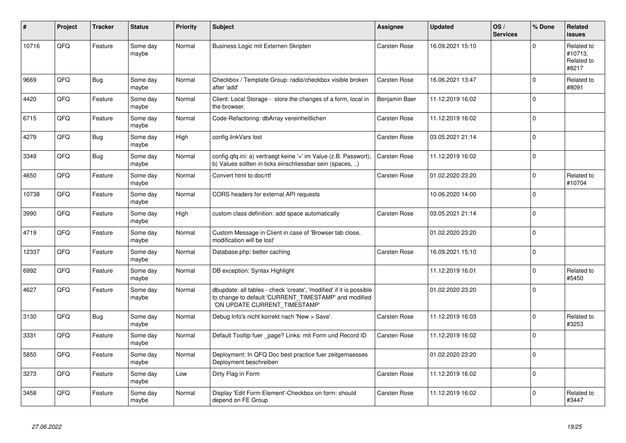| #     | Project | <b>Tracker</b> | <b>Status</b>     | <b>Priority</b> | <b>Subject</b>                                                                                                                                                | Assignee      | <b>Updated</b>   | OS/<br><b>Services</b> | % Done      | Related<br><b>issues</b>                     |
|-------|---------|----------------|-------------------|-----------------|---------------------------------------------------------------------------------------------------------------------------------------------------------------|---------------|------------------|------------------------|-------------|----------------------------------------------|
| 10716 | QFQ     | Feature        | Some day<br>maybe | Normal          | Business Logic mit Externen Skripten                                                                                                                          | Carsten Rose  | 16.09.2021 15:10 |                        | $\Omega$    | Related to<br>#10713,<br>Related to<br>#8217 |
| 9669  | QFQ     | <b>Bug</b>     | Some dav<br>maybe | Normal          | Checkbox / Template Group: radio/checkbox visible broken<br>after 'add'                                                                                       | Carsten Rose  | 16.06.2021 13:47 |                        | $\Omega$    | Related to<br>#8091                          |
| 4420  | QFQ     | Feature        | Some day<br>maybe | Normal          | Client: Local Storage - store the changes of a form, local in<br>the browser.                                                                                 | Benjamin Baer | 11.12.2019 16:02 |                        | $\Omega$    |                                              |
| 6715  | QFQ     | Feature        | Some day<br>maybe | Normal          | Code-Refactoring: dbArray vereinheitlichen                                                                                                                    | Carsten Rose  | 11.12.2019 16:02 |                        | $\Omega$    |                                              |
| 4279  | QFQ     | <b>Bug</b>     | Some day<br>maybe | High            | config.linkVars lost                                                                                                                                          | Carsten Rose  | 03.05.2021 21:14 |                        | $\mathbf 0$ |                                              |
| 3349  | QFQ     | <b>Bug</b>     | Some day<br>maybe | Normal          | config.qfq.ini: a) vertraegt keine '=' im Value (z.B. Passwort),<br>b) Values sollten in ticks einschliessbar sein (spaces, )                                 | Carsten Rose  | 11.12.2019 16:02 |                        | $\mathbf 0$ |                                              |
| 4650  | QFQ     | Feature        | Some day<br>maybe | Normal          | Convert html to doc/rtf                                                                                                                                       | Carsten Rose  | 01.02.2020 23:20 |                        | $\mathbf 0$ | Related to<br>#10704                         |
| 10738 | QFQ     | Feature        | Some day<br>maybe | Normal          | CORS headers for external API requests                                                                                                                        |               | 10.06.2020 14:00 |                        | $\Omega$    |                                              |
| 3990  | QFQ     | Feature        | Some day<br>maybe | High            | custom class definition: add space automatically                                                                                                              | Carsten Rose  | 03.05.2021 21:14 |                        | $\Omega$    |                                              |
| 4719  | QFQ     | Feature        | Some day<br>maybe | Normal          | Custom Message in Client in case of 'Browser tab close,<br>modification will be lost'                                                                         |               | 01.02.2020 23:20 |                        | $\mathbf 0$ |                                              |
| 12337 | QFQ     | Feature        | Some day<br>maybe | Normal          | Database.php: better caching                                                                                                                                  | Carsten Rose  | 16.09.2021 15:10 |                        | $\Omega$    |                                              |
| 6992  | QFQ     | Feature        | Some day<br>maybe | Normal          | DB exception: Syntax Highlight                                                                                                                                |               | 11.12.2019 16:01 |                        | $\mathbf 0$ | Related to<br>#5450                          |
| 4627  | QFQ     | Feature        | Some day<br>maybe | Normal          | dbupdate: all tables - check 'create', 'modified' if it is possible<br>to change to default 'CURRENT_TIMESTAMP' and modified<br>'ON UPDATE CURRENT_TIMESTAMP' |               | 01.02.2020 23:20 |                        | $\Omega$    |                                              |
| 3130  | QFQ     | <b>Bug</b>     | Some dav<br>maybe | Normal          | Debug Info's nicht korrekt nach 'New > Save'.                                                                                                                 | Carsten Rose  | 11.12.2019 16:03 |                        | $\mathbf 0$ | Related to<br>#3253                          |
| 3331  | QFQ     | Feature        | Some day<br>maybe | Normal          | Default Tooltip fuer _page? Links: mit Form und Record ID                                                                                                     | Carsten Rose  | 11.12.2019 16:02 |                        | $\Omega$    |                                              |
| 5850  | QFQ     | Feature        | Some day<br>maybe | Normal          | Deployment: In QFQ Doc best practice fuer zeitgemaesses<br>Deployment beschreiben                                                                             |               | 01.02.2020 23:20 |                        | $\Omega$    |                                              |
| 3273  | QFQ     | Feature        | Some day<br>maybe | Low             | Dirty Flag in Form                                                                                                                                            | Carsten Rose  | 11.12.2019 16:02 |                        | $\Omega$    |                                              |
| 3458  | QFQ     | Feature        | Some day<br>maybe | Normal          | Display 'Edit Form Element'-Checkbox on form: should<br>depend on FE Group                                                                                    | Carsten Rose  | 11.12.2019 16:02 |                        | $\Omega$    | Related to<br>#3447                          |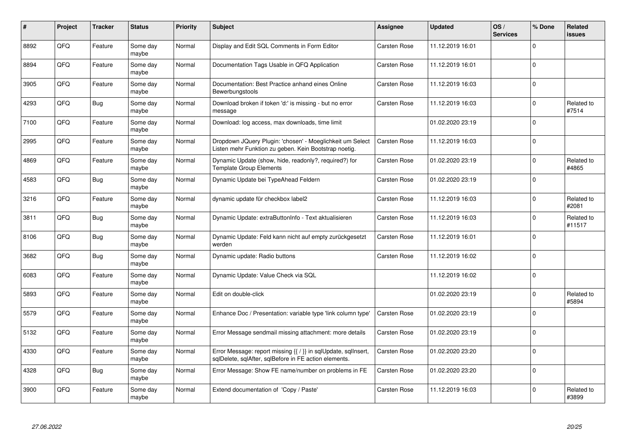| #    | Project    | <b>Tracker</b> | <b>Status</b>     | <b>Priority</b> | <b>Subject</b>                                                                                                          | Assignee     | <b>Updated</b>   | OS/<br><b>Services</b> | % Done   | Related<br><b>issues</b> |
|------|------------|----------------|-------------------|-----------------|-------------------------------------------------------------------------------------------------------------------------|--------------|------------------|------------------------|----------|--------------------------|
| 8892 | QFQ        | Feature        | Some day<br>maybe | Normal          | Display and Edit SQL Comments in Form Editor                                                                            | Carsten Rose | 11.12.2019 16:01 |                        | $\Omega$ |                          |
| 8894 | QFQ        | Feature        | Some day<br>maybe | Normal          | Documentation Tags Usable in QFQ Application                                                                            | Carsten Rose | 11.12.2019 16:01 |                        | $\Omega$ |                          |
| 3905 | QFQ        | Feature        | Some day<br>maybe | Normal          | Documentation: Best Practice anhand eines Online<br>Bewerbungstools                                                     | Carsten Rose | 11.12.2019 16:03 |                        | $\Omega$ |                          |
| 4293 | QFQ        | <b>Bug</b>     | Some day<br>maybe | Normal          | Download broken if token 'd:' is missing - but no error<br>message                                                      | Carsten Rose | 11.12.2019 16:03 |                        | $\Omega$ | Related to<br>#7514      |
| 7100 | QFQ        | Feature        | Some day<br>maybe | Normal          | Download: log access, max downloads, time limit                                                                         |              | 01.02.2020 23:19 |                        | $\Omega$ |                          |
| 2995 | <b>OFO</b> | Feature        | Some day<br>maybe | Normal          | Dropdown JQuery Plugin: 'chosen' - Moeglichkeit um Select<br>Listen mehr Funktion zu geben. Kein Bootstrap noetig.      | Carsten Rose | 11.12.2019 16:03 |                        | $\Omega$ |                          |
| 4869 | QFQ        | Feature        | Some day<br>maybe | Normal          | Dynamic Update (show, hide, readonly?, required?) for<br>Template Group Elements                                        | Carsten Rose | 01.02.2020 23:19 |                        | $\Omega$ | Related to<br>#4865      |
| 4583 | QFQ        | Bug            | Some day<br>maybe | Normal          | Dynamic Update bei TypeAhead Feldern                                                                                    | Carsten Rose | 01.02.2020 23:19 |                        | $\Omega$ |                          |
| 3216 | QFQ        | Feature        | Some day<br>maybe | Normal          | dynamic update für checkbox label2                                                                                      | Carsten Rose | 11.12.2019 16:03 |                        | $\Omega$ | Related to<br>#2081      |
| 3811 | QFQ        | <b>Bug</b>     | Some dav<br>maybe | Normal          | Dynamic Update: extraButtonInfo - Text aktualisieren                                                                    | Carsten Rose | 11.12.2019 16:03 |                        | $\Omega$ | Related to<br>#11517     |
| 8106 | QFQ        | Bug            | Some day<br>maybe | Normal          | Dynamic Update: Feld kann nicht auf empty zurückgesetzt<br>werden                                                       | Carsten Rose | 11.12.2019 16:01 |                        | $\Omega$ |                          |
| 3682 | QFQ        | <b>Bug</b>     | Some day<br>maybe | Normal          | Dynamic update: Radio buttons                                                                                           | Carsten Rose | 11.12.2019 16:02 |                        | $\Omega$ |                          |
| 6083 | QFQ        | Feature        | Some day<br>maybe | Normal          | Dynamic Update: Value Check via SQL                                                                                     |              | 11.12.2019 16:02 |                        | $\Omega$ |                          |
| 5893 | QFQ        | Feature        | Some dav<br>maybe | Normal          | Edit on double-click                                                                                                    |              | 01.02.2020 23:19 |                        | $\Omega$ | Related to<br>#5894      |
| 5579 | QFQ        | Feature        | Some day<br>maybe | Normal          | Enhance Doc / Presentation: variable type 'link column type'                                                            | Carsten Rose | 01.02.2020 23:19 |                        | $\Omega$ |                          |
| 5132 | QFQ        | Feature        | Some day<br>maybe | Normal          | Error Message sendmail missing attachment: more details                                                                 | Carsten Rose | 01.02.2020 23:19 |                        | $\Omega$ |                          |
| 4330 | QFQ        | Feature        | Some day<br>maybe | Normal          | Error Message: report missing {{ / }} in sqlUpdate, sqlInsert,<br>sqlDelete, sqlAfter, sqlBefore in FE action elements. | Carsten Rose | 01.02.2020 23:20 |                        | $\Omega$ |                          |
| 4328 | QFQ        | <b>Bug</b>     | Some day<br>maybe | Normal          | Error Message: Show FE name/number on problems in FE                                                                    | Carsten Rose | 01.02.2020 23:20 |                        | $\Omega$ |                          |
| 3900 | QFQ        | Feature        | Some day<br>maybe | Normal          | Extend documentation of 'Copy / Paste'                                                                                  | Carsten Rose | 11.12.2019 16:03 |                        | $\Omega$ | Related to<br>#3899      |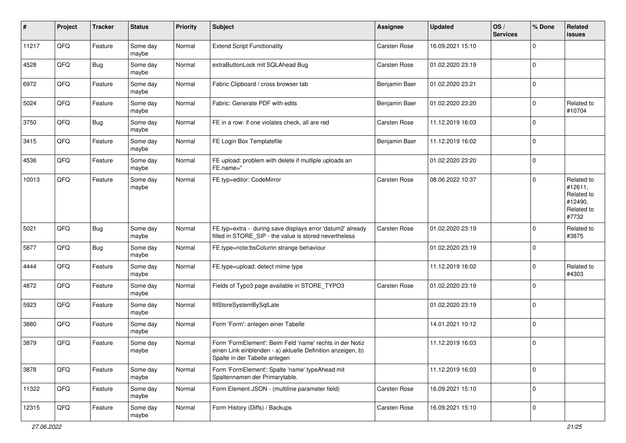| $\pmb{\#}$ | Project | <b>Tracker</b> | <b>Status</b>     | <b>Priority</b> | <b>Subject</b>                                                                                                                                           | <b>Assignee</b> | <b>Updated</b>   | OS/<br><b>Services</b> | % Done      | Related<br>issues                                                     |
|------------|---------|----------------|-------------------|-----------------|----------------------------------------------------------------------------------------------------------------------------------------------------------|-----------------|------------------|------------------------|-------------|-----------------------------------------------------------------------|
| 11217      | QFQ     | Feature        | Some day<br>maybe | Normal          | <b>Extend Script Functionality</b>                                                                                                                       | Carsten Rose    | 16.09.2021 15:10 |                        | $\Omega$    |                                                                       |
| 4528       | QFQ     | <b>Bug</b>     | Some day<br>maybe | Normal          | extraButtonLock mit SQLAhead Bug                                                                                                                         | Carsten Rose    | 01.02.2020 23:19 |                        | $\mathbf 0$ |                                                                       |
| 6972       | QFQ     | Feature        | Some day<br>maybe | Normal          | Fabric Clipboard / cross browser tab                                                                                                                     | Benjamin Baer   | 01.02.2020 23:21 |                        | $\mathbf 0$ |                                                                       |
| 5024       | QFQ     | Feature        | Some day<br>maybe | Normal          | Fabric: Generate PDF with edits                                                                                                                          | Benjamin Baer   | 01.02.2020 23:20 |                        | $\mathbf 0$ | Related to<br>#10704                                                  |
| 3750       | QFQ     | <b>Bug</b>     | Some day<br>maybe | Normal          | FE in a row: if one violates check, all are red                                                                                                          | Carsten Rose    | 11.12.2019 16:03 |                        | $\mathbf 0$ |                                                                       |
| 3415       | QFQ     | Feature        | Some day<br>maybe | Normal          | FE Login Box Templatefile                                                                                                                                | Benjamin Baer   | 11.12.2019 16:02 |                        | $\mathbf 0$ |                                                                       |
| 4536       | QFQ     | Feature        | Some day<br>maybe | Normal          | FE upload: problem with delete if mutliple uploads an<br>FE.name="                                                                                       |                 | 01.02.2020 23:20 |                        | $\mathbf 0$ |                                                                       |
| 10013      | QFQ     | Feature        | Some day<br>maybe | Normal          | FE.typ=editor: CodeMirror                                                                                                                                | Carsten Rose    | 08.06.2022 10:37 |                        | $\Omega$    | Related to<br>#12611,<br>Related to<br>#12490,<br>Related to<br>#7732 |
| 5021       | QFQ     | <b>Bug</b>     | Some day<br>maybe | Normal          | FE.typ=extra - during save displays error 'datum2' already<br>filled in STORE_SIP - the value is stored nevertheless                                     | Carsten Rose    | 01.02.2020 23:19 |                        | $\mathbf 0$ | Related to<br>#3875                                                   |
| 5877       | QFQ     | <b>Bug</b>     | Some day<br>maybe | Normal          | FE.type=note:bsColumn strange behaviour                                                                                                                  |                 | 01.02.2020 23:19 |                        | $\Omega$    |                                                                       |
| 4444       | QFQ     | Feature        | Some day<br>maybe | Normal          | FE.type=upload: detect mime type                                                                                                                         |                 | 11.12.2019 16:02 |                        | $\Omega$    | Related to<br>#4303                                                   |
| 4872       | QFQ     | Feature        | Some day<br>maybe | Normal          | Fields of Typo3 page available in STORE_TYPO3                                                                                                            | Carsten Rose    | 01.02.2020 23:19 |                        | $\mathbf 0$ |                                                                       |
| 5923       | QFQ     | Feature        | Some day<br>maybe | Normal          | fillStoreSystemBySqlLate                                                                                                                                 |                 | 01.02.2020 23:19 |                        | $\mathbf 0$ |                                                                       |
| 3880       | QFQ     | Feature        | Some day<br>maybe | Normal          | Form 'Form': anlegen einer Tabelle                                                                                                                       |                 | 14.01.2021 10:12 |                        | $\mathbf 0$ |                                                                       |
| 3879       | QFQ     | Feature        | Some day<br>maybe | Normal          | Form 'FormElement': Beim Feld 'name' rechts in der Notiz<br>einen Link einblenden - a) aktuelle Definition anzeigen, b)<br>Spalte in der Tabelle anlegen |                 | 11.12.2019 16:03 |                        | $\mathbf 0$ |                                                                       |
| 3878       | QFQ     | Feature        | Some day<br>maybe | Normal          | Form 'FormElement': Spalte 'name' typeAhead mit<br>Spaltennamen der Primarytable.                                                                        |                 | 11.12.2019 16:03 |                        | $\mathbf 0$ |                                                                       |
| 11322      | QFQ     | Feature        | Some day<br>maybe | Normal          | Form Element JSON - (multiline parameter field)                                                                                                          | Carsten Rose    | 16.09.2021 15:10 |                        | $\mathbf 0$ |                                                                       |
| 12315      | QFQ     | Feature        | Some day<br>maybe | Normal          | Form History (Diffs) / Backups                                                                                                                           | Carsten Rose    | 16.09.2021 15:10 |                        | $\mathbf 0$ |                                                                       |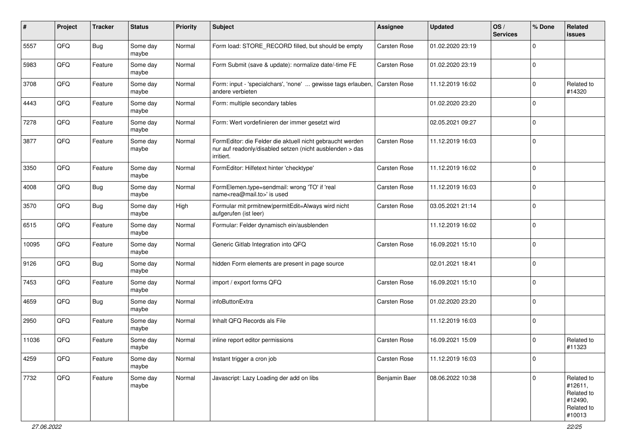| ∦     | Project | <b>Tracker</b> | <b>Status</b>     | <b>Priority</b> | <b>Subject</b>                                                                                                                      | <b>Assignee</b> | <b>Updated</b>   | OS/<br><b>Services</b> | % Done      | Related<br>issues                                                      |
|-------|---------|----------------|-------------------|-----------------|-------------------------------------------------------------------------------------------------------------------------------------|-----------------|------------------|------------------------|-------------|------------------------------------------------------------------------|
| 5557  | QFQ     | <b>Bug</b>     | Some day<br>maybe | Normal          | Form load: STORE_RECORD filled, but should be empty                                                                                 | Carsten Rose    | 01.02.2020 23:19 |                        | $\mathbf 0$ |                                                                        |
| 5983  | QFQ     | Feature        | Some day<br>maybe | Normal          | Form Submit (save & update): normalize date/-time FE                                                                                | Carsten Rose    | 01.02.2020 23:19 |                        | $\mathbf 0$ |                                                                        |
| 3708  | QFQ     | Feature        | Some day<br>maybe | Normal          | Form: input - 'specialchars', 'none'  gewisse tags erlauben.<br>andere verbieten                                                    | Carsten Rose    | 11.12.2019 16:02 |                        | $\mathbf 0$ | Related to<br>#14320                                                   |
| 4443  | QFQ     | Feature        | Some day<br>maybe | Normal          | Form: multiple secondary tables                                                                                                     |                 | 01.02.2020 23:20 |                        | $\mathbf 0$ |                                                                        |
| 7278  | QFQ     | Feature        | Some day<br>maybe | Normal          | Form: Wert vordefinieren der immer gesetzt wird                                                                                     |                 | 02.05.2021 09:27 |                        | $\mathbf 0$ |                                                                        |
| 3877  | QFQ     | Feature        | Some day<br>maybe | Normal          | FormEditor: die Felder die aktuell nicht gebraucht werden<br>nur auf readonly/disabled setzen (nicht ausblenden > das<br>irritiert. | Carsten Rose    | 11.12.2019 16:03 |                        | $\mathbf 0$ |                                                                        |
| 3350  | QFQ     | Feature        | Some day<br>maybe | Normal          | FormEditor: Hilfetext hinter 'checktype'                                                                                            | Carsten Rose    | 11.12.2019 16:02 |                        | $\mathbf 0$ |                                                                        |
| 4008  | QFQ     | Bug            | Some day<br>maybe | Normal          | FormElemen.type=sendmail: wrong 'TO' if 'real<br>name <rea@mail.to>' is used</rea@mail.to>                                          | Carsten Rose    | 11.12.2019 16:03 |                        | $\mathbf 0$ |                                                                        |
| 3570  | QFQ     | <b>Bug</b>     | Some day<br>maybe | High            | Formular mit prmitnew permitEdit=Always wird nicht<br>aufgerufen (ist leer)                                                         | Carsten Rose    | 03.05.2021 21:14 |                        | $\mathbf 0$ |                                                                        |
| 6515  | QFQ     | Feature        | Some day<br>maybe | Normal          | Formular: Felder dynamisch ein/ausblenden                                                                                           |                 | 11.12.2019 16:02 |                        | $\mathbf 0$ |                                                                        |
| 10095 | QFQ     | Feature        | Some day<br>maybe | Normal          | Generic Gitlab Integration into QFQ                                                                                                 | Carsten Rose    | 16.09.2021 15:10 |                        | $\mathbf 0$ |                                                                        |
| 9126  | QFQ     | Bug            | Some day<br>maybe | Normal          | hidden Form elements are present in page source                                                                                     |                 | 02.01.2021 18:41 |                        | $\mathbf 0$ |                                                                        |
| 7453  | QFQ     | Feature        | Some day<br>maybe | Normal          | import / export forms QFQ                                                                                                           | Carsten Rose    | 16.09.2021 15:10 |                        | $\mathbf 0$ |                                                                        |
| 4659  | QFQ     | <b>Bug</b>     | Some day<br>maybe | Normal          | infoButtonExtra                                                                                                                     | Carsten Rose    | 01.02.2020 23:20 |                        | $\mathbf 0$ |                                                                        |
| 2950  | QFQ     | Feature        | Some day<br>maybe | Normal          | Inhalt QFQ Records als File                                                                                                         |                 | 11.12.2019 16:03 |                        | $\mathbf 0$ |                                                                        |
| 11036 | QFQ     | Feature        | Some day<br>maybe | Normal          | inline report editor permissions                                                                                                    | Carsten Rose    | 16.09.2021 15:09 |                        | $\mathbf 0$ | Related to<br>#11323                                                   |
| 4259  | QFO     | Feature        | Some day<br>maybe | Normal          | Instant trigger a cron job                                                                                                          | Carsten Rose    | 11.12.2019 16:03 |                        | $\pmb{0}$   |                                                                        |
| 7732  | QFO     | Feature        | Some day<br>maybe | Normal          | Javascript: Lazy Loading der add on libs                                                                                            | Benjamin Baer   | 08.06.2022 10:38 |                        | $\mathbf 0$ | Related to<br>#12611,<br>Related to<br>#12490,<br>Related to<br>#10013 |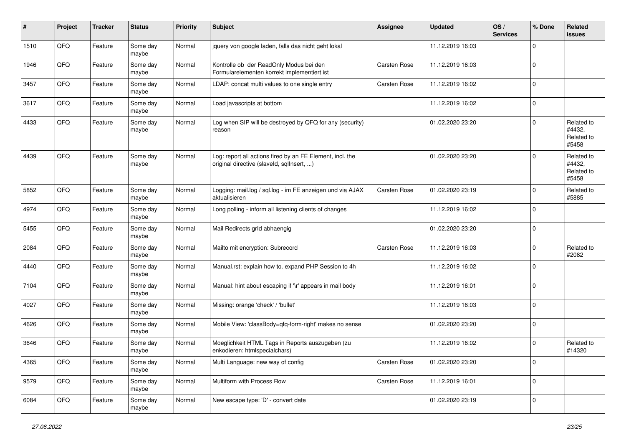| #    | Project | <b>Tracker</b> | <b>Status</b>     | <b>Priority</b> | <b>Subject</b>                                                                                         | <b>Assignee</b> | Updated          | OS/<br><b>Services</b> | % Done      | Related<br>issues                           |
|------|---------|----------------|-------------------|-----------------|--------------------------------------------------------------------------------------------------------|-----------------|------------------|------------------------|-------------|---------------------------------------------|
| 1510 | QFQ     | Feature        | Some day<br>maybe | Normal          | jquery von google laden, falls das nicht geht lokal                                                    |                 | 11.12.2019 16:03 |                        | $\Omega$    |                                             |
| 1946 | QFQ     | Feature        | Some day<br>maybe | Normal          | Kontrolle ob der ReadOnly Modus bei den<br>Formularelementen korrekt implementiert ist                 | Carsten Rose    | 11.12.2019 16:03 |                        | $\mathbf 0$ |                                             |
| 3457 | QFQ     | Feature        | Some day<br>maybe | Normal          | LDAP: concat multi values to one single entry                                                          | Carsten Rose    | 11.12.2019 16:02 |                        | $\Omega$    |                                             |
| 3617 | QFQ     | Feature        | Some day<br>maybe | Normal          | Load javascripts at bottom                                                                             |                 | 11.12.2019 16:02 |                        | $\Omega$    |                                             |
| 4433 | QFQ     | Feature        | Some day<br>maybe | Normal          | Log when SIP will be destroyed by QFQ for any (security)<br>reason                                     |                 | 01.02.2020 23:20 |                        | $\Omega$    | Related to<br>#4432,<br>Related to<br>#5458 |
| 4439 | QFQ     | Feature        | Some day<br>maybe | Normal          | Log: report all actions fired by an FE Element, incl. the<br>original directive (slaveld, sqllnsert, ) |                 | 01.02.2020 23:20 |                        | $\Omega$    | Related to<br>#4432,<br>Related to<br>#5458 |
| 5852 | QFQ     | Feature        | Some day<br>maybe | Normal          | Logging: mail.log / sql.log - im FE anzeigen und via AJAX<br>aktualisieren                             | Carsten Rose    | 01.02.2020 23:19 |                        | $\Omega$    | Related to<br>#5885                         |
| 4974 | QFQ     | Feature        | Some day<br>maybe | Normal          | Long polling - inform all listening clients of changes                                                 |                 | 11.12.2019 16:02 |                        | $\Omega$    |                                             |
| 5455 | QFQ     | Feature        | Some day<br>maybe | Normal          | Mail Redirects grld abhaengig                                                                          |                 | 01.02.2020 23:20 |                        | $\Omega$    |                                             |
| 2084 | QFQ     | Feature        | Some day<br>maybe | Normal          | Mailto mit encryption: Subrecord                                                                       | Carsten Rose    | 11.12.2019 16:03 |                        | $\Omega$    | Related to<br>#2082                         |
| 4440 | QFQ     | Feature        | Some day<br>maybe | Normal          | Manual.rst: explain how to. expand PHP Session to 4h                                                   |                 | 11.12.2019 16:02 |                        | $\Omega$    |                                             |
| 7104 | QFQ     | Feature        | Some day<br>maybe | Normal          | Manual: hint about escaping if '\r' appears in mail body                                               |                 | 11.12.2019 16:01 |                        | $\Omega$    |                                             |
| 4027 | QFQ     | Feature        | Some day<br>maybe | Normal          | Missing: orange 'check' / 'bullet'                                                                     |                 | 11.12.2019 16:03 |                        | $\mathbf 0$ |                                             |
| 4626 | QFQ     | Feature        | Some day<br>maybe | Normal          | Mobile View: 'classBody=qfq-form-right' makes no sense                                                 |                 | 01.02.2020 23:20 |                        | $\mathbf 0$ |                                             |
| 3646 | QFQ     | Feature        | Some day<br>maybe | Normal          | Moeglichkeit HTML Tags in Reports auszugeben (zu<br>enkodieren: htmlspecialchars)                      |                 | 11.12.2019 16:02 |                        | $\Omega$    | Related to<br>#14320                        |
| 4365 | QFG     | Feature        | Some day<br>maybe | Normal          | Multi Language: new way of config                                                                      | Carsten Rose    | 01.02.2020 23:20 |                        | 0           |                                             |
| 9579 | QFO     | Feature        | Some day<br>maybe | Normal          | Multiform with Process Row                                                                             | Carsten Rose    | 11.12.2019 16:01 |                        | 0           |                                             |
| 6084 | QFQ     | Feature        | Some day<br>maybe | Normal          | New escape type: 'D' - convert date                                                                    |                 | 01.02.2020 23:19 |                        | 0           |                                             |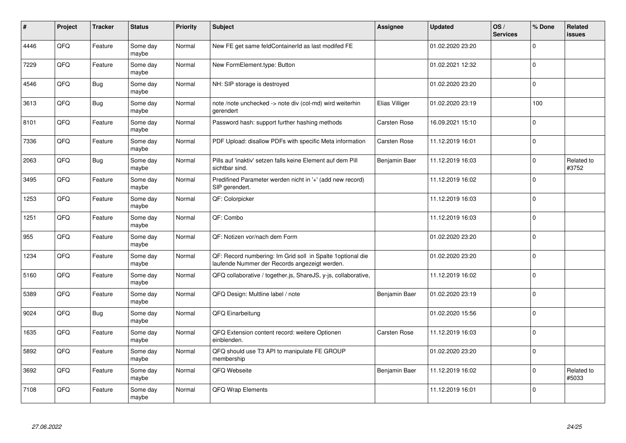| #    | Project | <b>Tracker</b> | <b>Status</b>     | <b>Priority</b> | <b>Subject</b>                                                                                               | <b>Assignee</b>     | <b>Updated</b>   | OS/<br><b>Services</b> | % Done       | Related<br><b>issues</b> |
|------|---------|----------------|-------------------|-----------------|--------------------------------------------------------------------------------------------------------------|---------------------|------------------|------------------------|--------------|--------------------------|
| 4446 | QFQ     | Feature        | Some day<br>maybe | Normal          | New FE get same feldContainerId as last modifed FE                                                           |                     | 01.02.2020 23:20 |                        | $\Omega$     |                          |
| 7229 | QFQ     | Feature        | Some day<br>maybe | Normal          | New FormElement.type: Button                                                                                 |                     | 01.02.2021 12:32 |                        | $\mathbf{0}$ |                          |
| 4546 | QFQ     | <b>Bug</b>     | Some day<br>maybe | Normal          | NH: SIP storage is destroyed                                                                                 |                     | 01.02.2020 23:20 |                        | $\mathbf 0$  |                          |
| 3613 | QFQ     | <b>Bug</b>     | Some day<br>maybe | Normal          | note /note unchecked -> note div (col-md) wird weiterhin<br>gerendert                                        | Elias Villiger      | 01.02.2020 23:19 |                        | 100          |                          |
| 8101 | QFQ     | Feature        | Some day<br>maybe | Normal          | Password hash: support further hashing methods                                                               | <b>Carsten Rose</b> | 16.09.2021 15:10 |                        | $\mathbf{0}$ |                          |
| 7336 | QFQ     | Feature        | Some day<br>maybe | Normal          | PDF Upload: disallow PDFs with specific Meta information                                                     | Carsten Rose        | 11.12.2019 16:01 |                        | $\Omega$     |                          |
| 2063 | QFQ     | <b>Bug</b>     | Some day<br>maybe | Normal          | Pills auf 'inaktiv' setzen falls keine Element auf dem Pill<br>sichtbar sind.                                | Benjamin Baer       | 11.12.2019 16:03 |                        | $\mathbf 0$  | Related to<br>#3752      |
| 3495 | QFQ     | Feature        | Some day<br>maybe | Normal          | Predifined Parameter werden nicht in '+' (add new record)<br>SIP gerendert.                                  |                     | 11.12.2019 16:02 |                        | $\Omega$     |                          |
| 1253 | QFQ     | Feature        | Some day<br>maybe | Normal          | QF: Colorpicker                                                                                              |                     | 11.12.2019 16:03 |                        | $\Omega$     |                          |
| 1251 | QFQ     | Feature        | Some day<br>maybe | Normal          | QF: Combo                                                                                                    |                     | 11.12.2019 16:03 |                        | $\mathbf 0$  |                          |
| 955  | QFQ     | Feature        | Some day<br>maybe | Normal          | QF: Notizen vor/nach dem Form                                                                                |                     | 01.02.2020 23:20 |                        | $\mathbf 0$  |                          |
| 1234 | QFQ     | Feature        | Some day<br>maybe | Normal          | QF: Record numbering: Im Grid soll in Spalte 1 optional die<br>laufende Nummer der Records angezeigt werden. |                     | 01.02.2020 23:20 |                        | $\mathbf 0$  |                          |
| 5160 | QFQ     | Feature        | Some day<br>maybe | Normal          | QFQ collaborative / together.js, ShareJS, y-js, collaborative,                                               |                     | 11.12.2019 16:02 |                        | $\mathbf 0$  |                          |
| 5389 | QFQ     | Feature        | Some day<br>maybe | Normal          | QFQ Design: Multline label / note                                                                            | Benjamin Baer       | 01.02.2020 23:19 |                        | $\mathbf 0$  |                          |
| 9024 | QFQ     | <b>Bug</b>     | Some day<br>maybe | Normal          | QFQ Einarbeitung                                                                                             |                     | 01.02.2020 15:56 |                        | $\Omega$     |                          |
| 1635 | QFQ     | Feature        | Some day<br>maybe | Normal          | QFQ Extension content record: weitere Optionen<br>einblenden.                                                | Carsten Rose        | 11.12.2019 16:03 |                        | $\Omega$     |                          |
| 5892 | QFQ     | Feature        | Some day<br>maybe | Normal          | QFQ should use T3 API to manipulate FE GROUP<br>membership                                                   |                     | 01.02.2020 23:20 |                        | $\mathbf 0$  |                          |
| 3692 | QFQ     | Feature        | Some day<br>maybe | Normal          | QFQ Webseite                                                                                                 | Benjamin Baer       | 11.12.2019 16:02 |                        | $\mathbf 0$  | Related to<br>#5033      |
| 7108 | QFQ     | Feature        | Some day<br>maybe | Normal          | QFQ Wrap Elements                                                                                            |                     | 11.12.2019 16:01 |                        | $\Omega$     |                          |